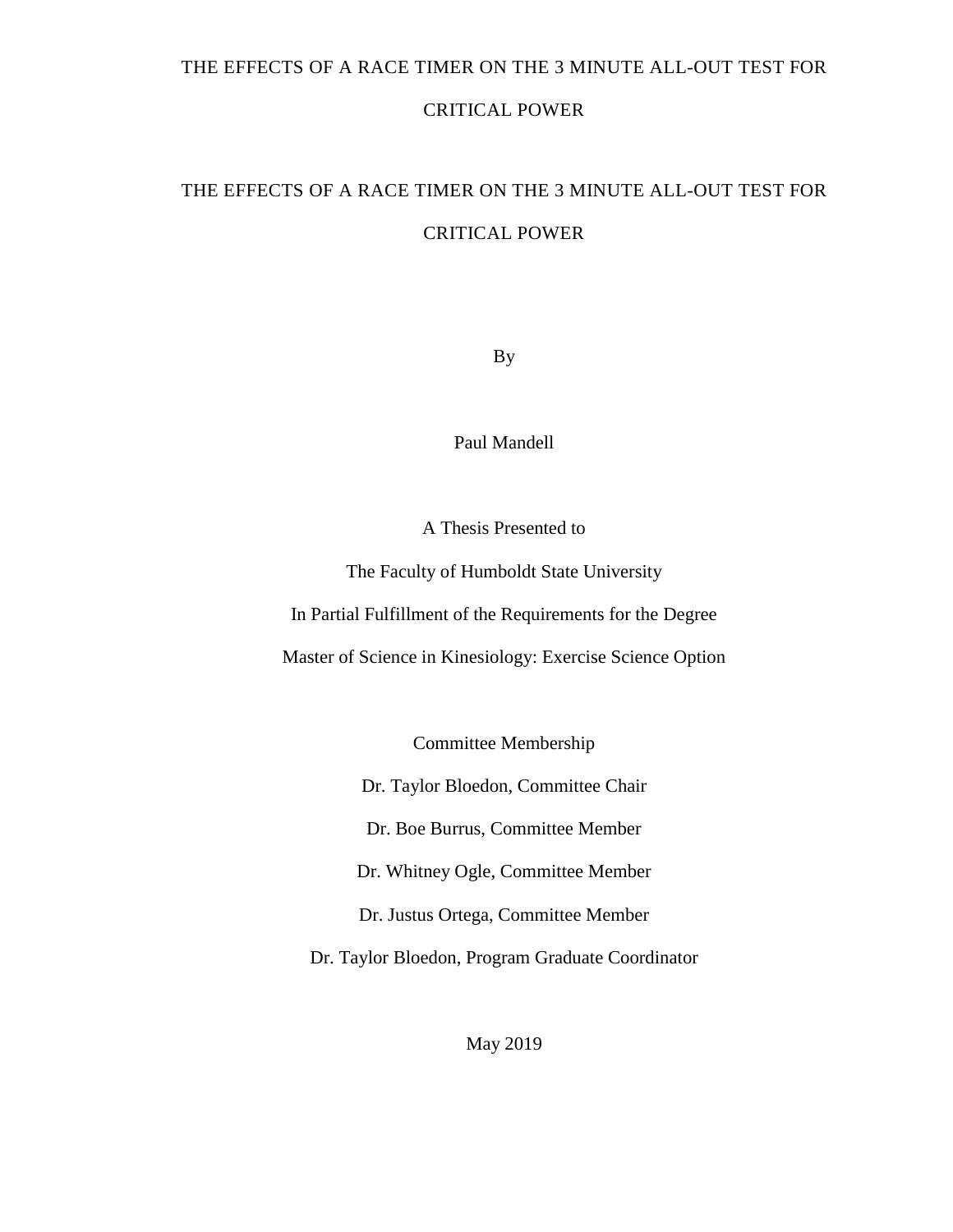### THE EFFECTS OF A RACE TIMER ON THE 3 MINUTE ALL-OUT TEST FOR

## CRITICAL POWER

# THE EFFECTS OF A RACE TIMER ON THE 3 MINUTE ALL-OUT TEST FOR CRITICAL POWER

By

Paul Mandell

A Thesis Presented to

The Faculty of Humboldt State University

In Partial Fulfillment of the Requirements for the Degree

Master of Science in Kinesiology: Exercise Science Option

Committee Membership

Dr. Taylor Bloedon, Committee Chair

Dr. Boe Burrus, Committee Member

Dr. Whitney Ogle, Committee Member

Dr. Justus Ortega, Committee Member

Dr. Taylor Bloedon, Program Graduate Coordinator

May 2019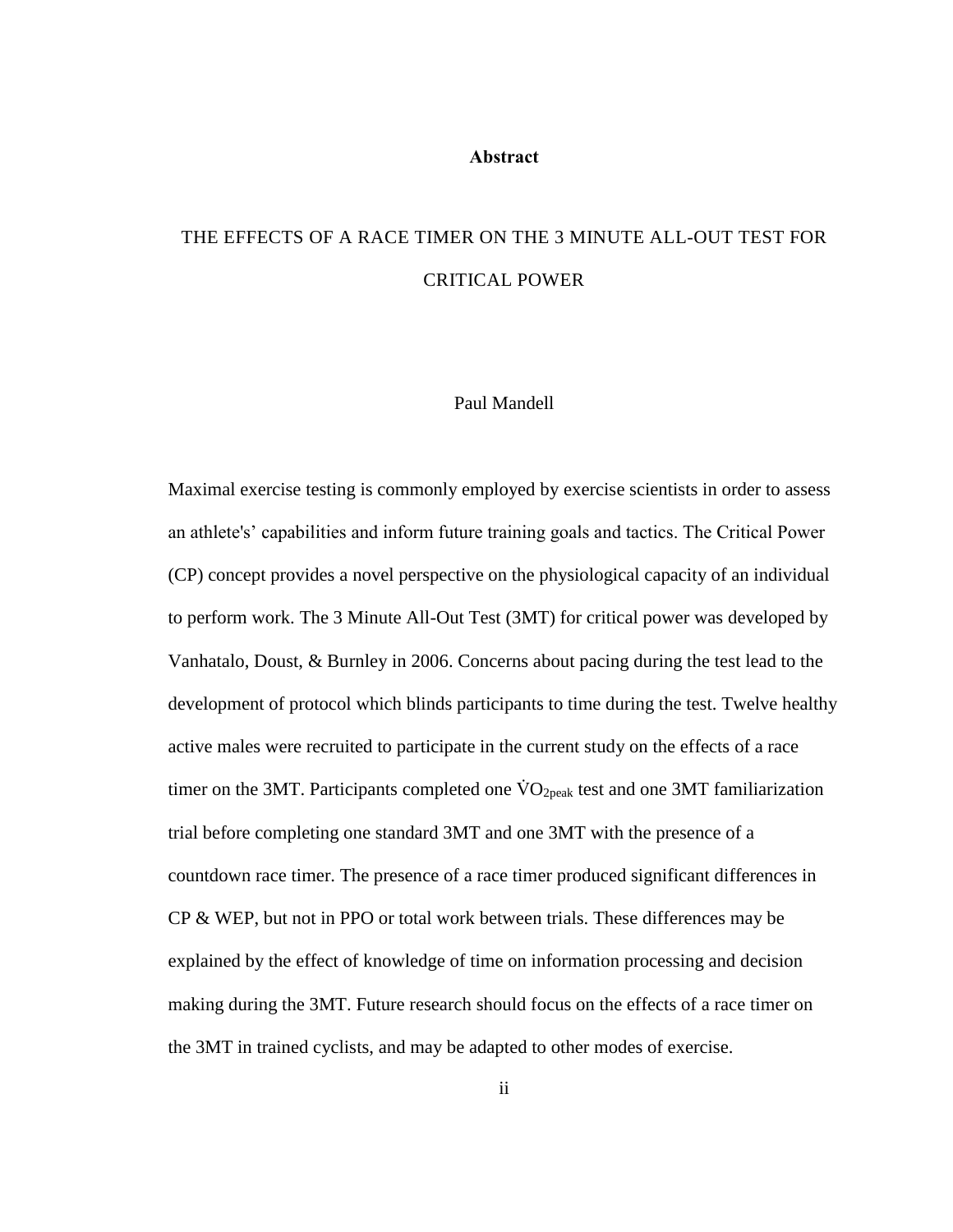#### **Abstract**

# <span id="page-1-0"></span>THE EFFECTS OF A RACE TIMER ON THE 3 MINUTE ALL-OUT TEST FOR CRITICAL POWER

### Paul Mandell

Maximal exercise testing is commonly employed by exercise scientists in order to assess an athlete's' capabilities and inform future training goals and tactics. The Critical Power (CP) concept provides a novel perspective on the physiological capacity of an individual to perform work. The 3 Minute All-Out Test (3MT) for critical power was developed by Vanhatalo, Doust, & Burnley in 2006. Concerns about pacing during the test lead to the development of protocol which blinds participants to time during the test. Twelve healthy active males were recruited to participate in the current study on the effects of a race timer on the 3MT. Participants completed one  $\rm \dot{VO}_{2peak}$  test and one 3MT familiarization trial before completing one standard 3MT and one 3MT with the presence of a countdown race timer. The presence of a race timer produced significant differences in CP & WEP, but not in PPO or total work between trials. These differences may be explained by the effect of knowledge of time on information processing and decision making during the 3MT. Future research should focus on the effects of a race timer on the 3MT in trained cyclists, and may be adapted to other modes of exercise.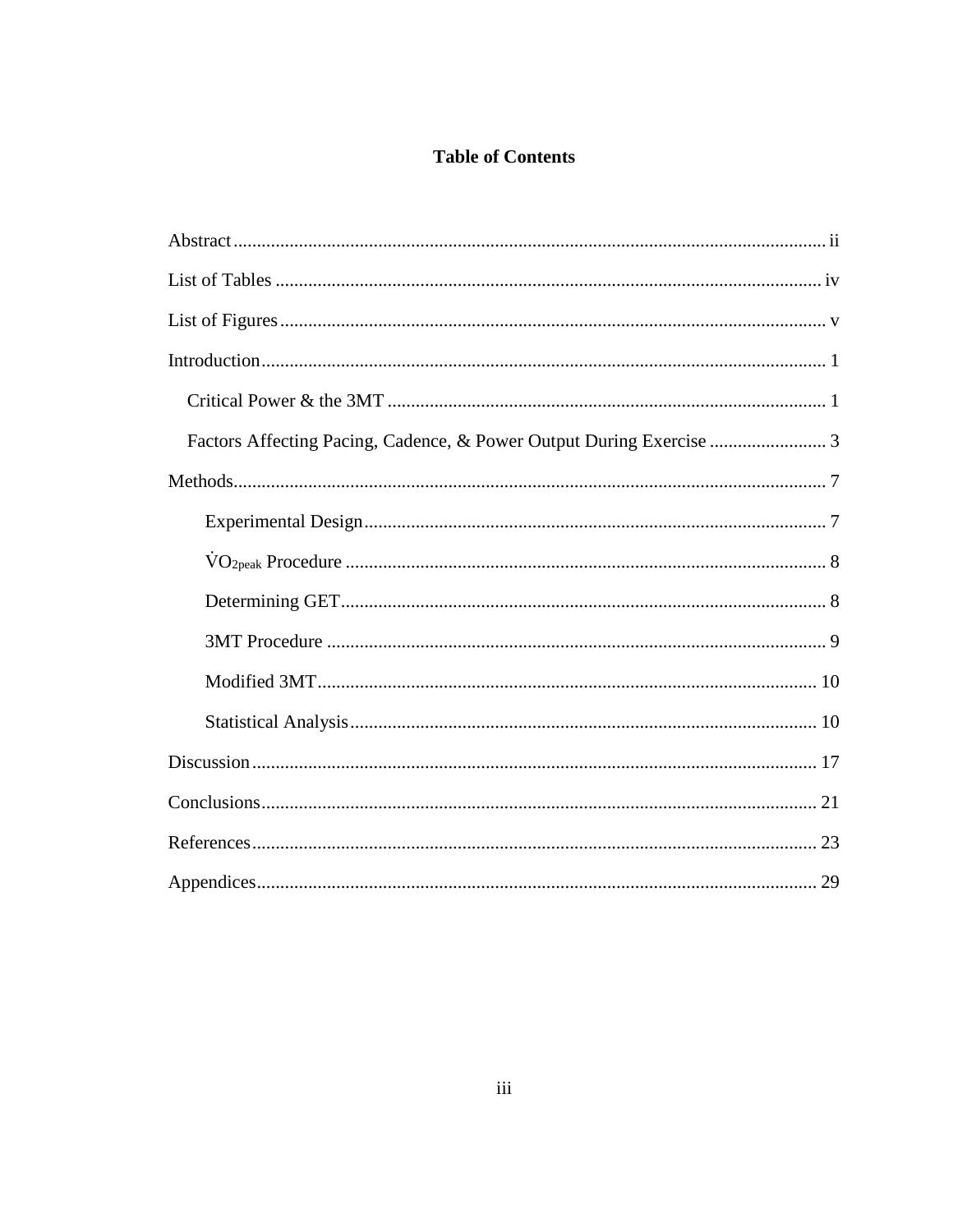## **Table of Contents**

| Factors Affecting Pacing, Cadence, & Power Output During Exercise  3 |  |
|----------------------------------------------------------------------|--|
|                                                                      |  |
|                                                                      |  |
|                                                                      |  |
|                                                                      |  |
|                                                                      |  |
|                                                                      |  |
|                                                                      |  |
|                                                                      |  |
|                                                                      |  |
|                                                                      |  |
|                                                                      |  |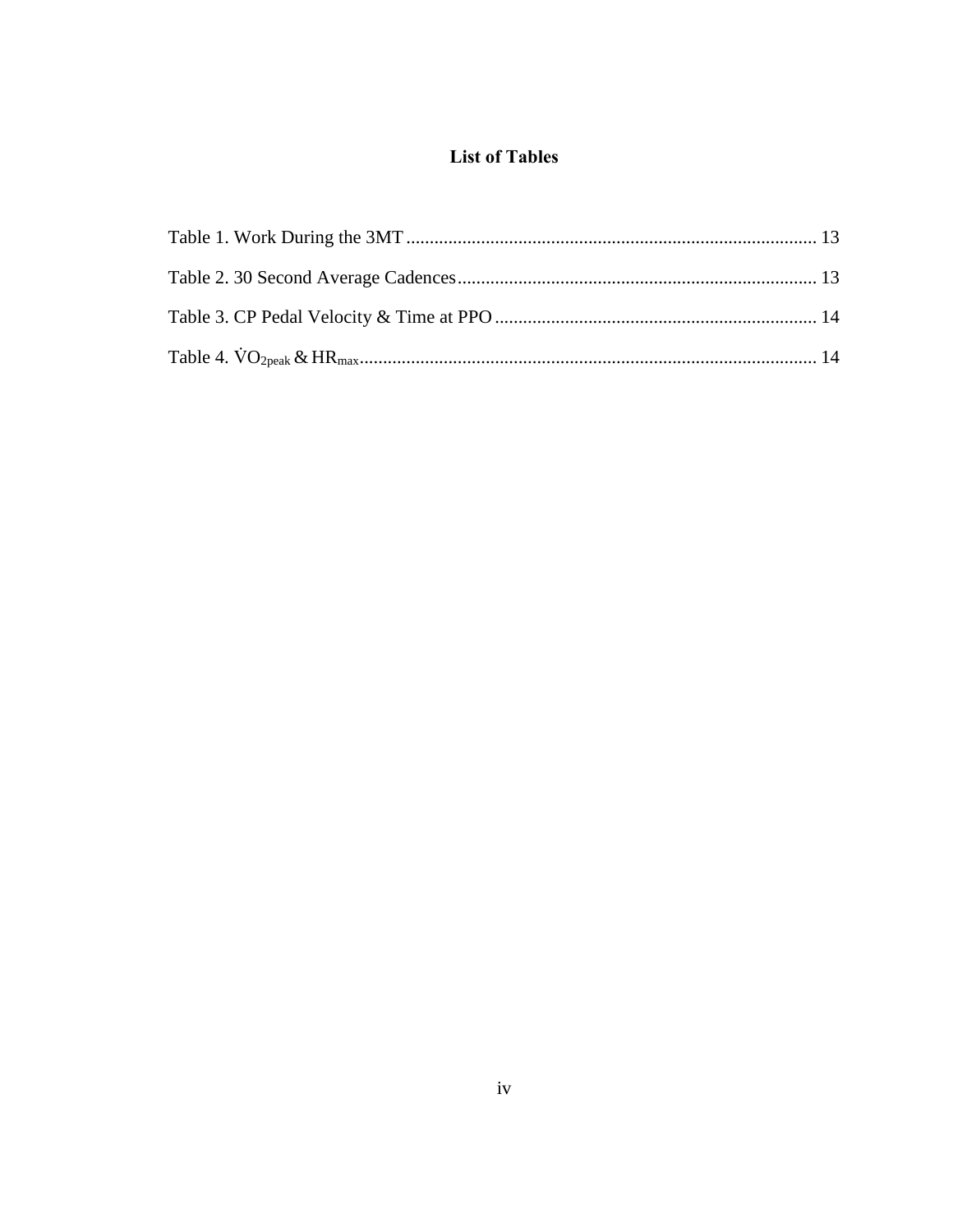## **List of Tables**

<span id="page-3-0"></span>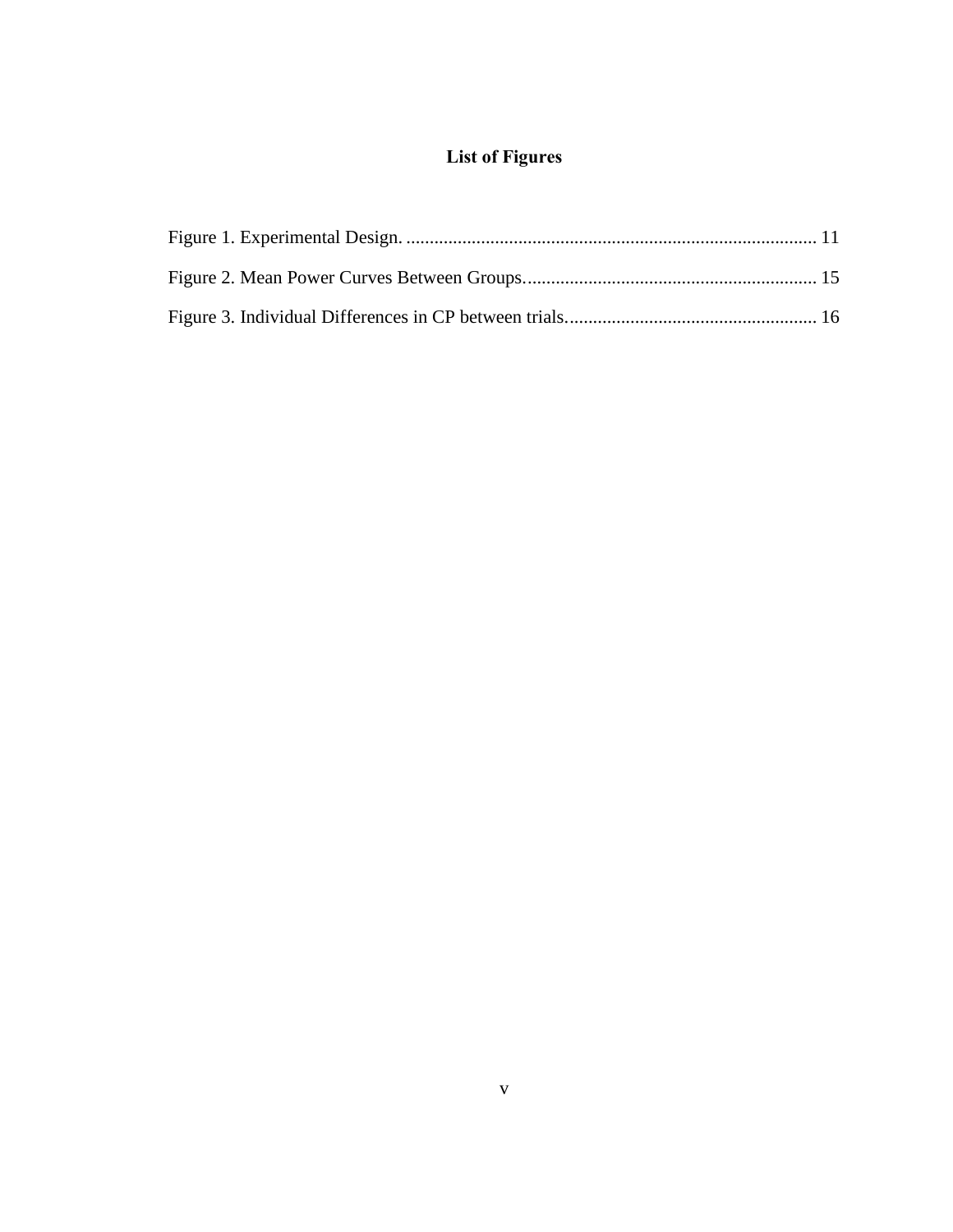## **List of Figures**

<span id="page-4-0"></span>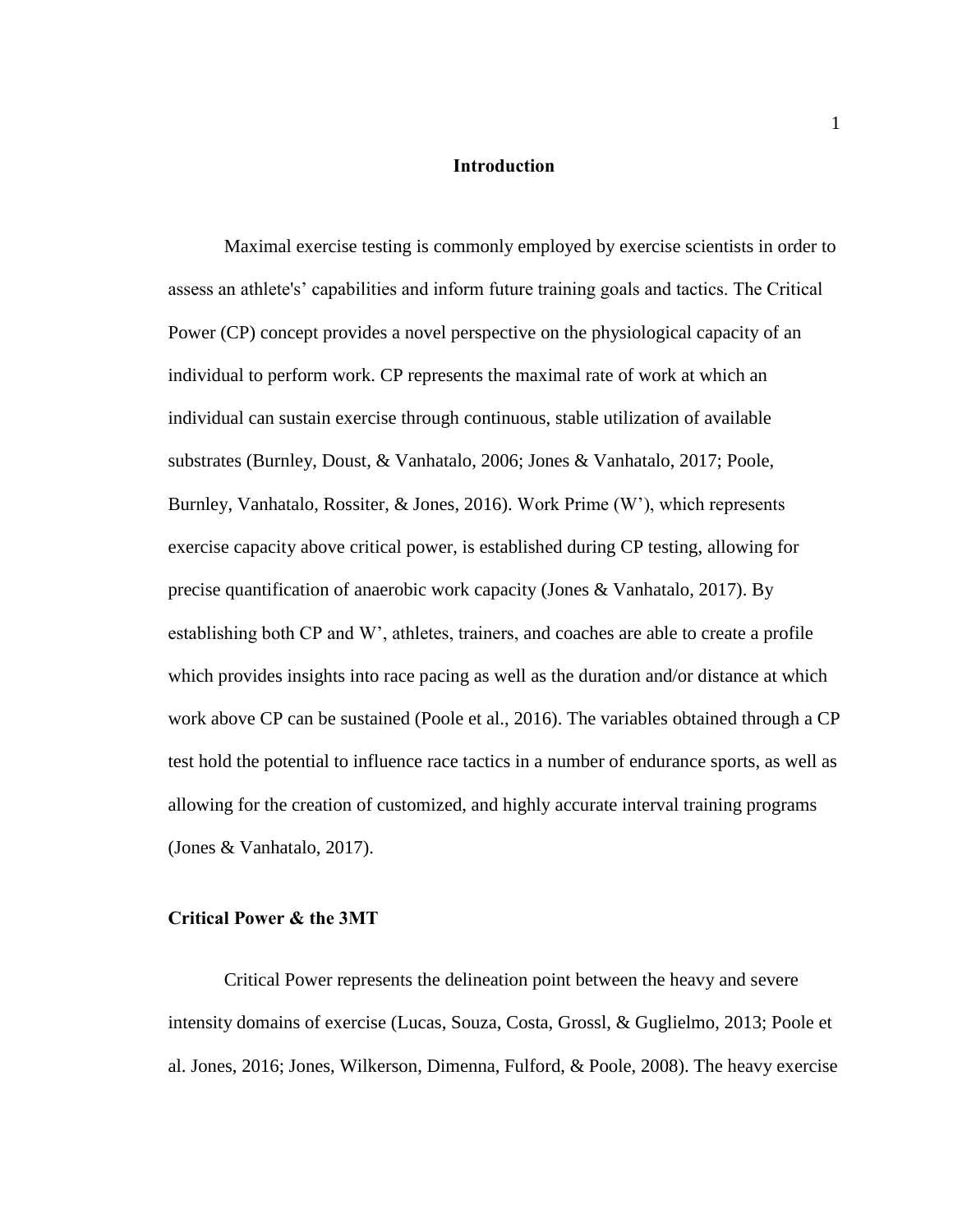#### **Introduction**

<span id="page-5-0"></span>Maximal exercise testing is commonly employed by exercise scientists in order to assess an athlete's' capabilities and inform future training goals and tactics. The Critical Power (CP) concept provides a novel perspective on the physiological capacity of an individual to perform work. CP represents the maximal rate of work at which an individual can sustain exercise through continuous, stable utilization of available substrates (Burnley, Doust, & Vanhatalo, 2006; Jones & Vanhatalo, 2017; Poole, Burnley, Vanhatalo, Rossiter, & Jones, 2016). Work Prime (W'), which represents exercise capacity above critical power, is established during CP testing, allowing for precise quantification of anaerobic work capacity (Jones & Vanhatalo, 2017). By establishing both CP and W', athletes, trainers, and coaches are able to create a profile which provides insights into race pacing as well as the duration and/or distance at which work above CP can be sustained (Poole et al., 2016). The variables obtained through a CP test hold the potential to influence race tactics in a number of endurance sports, as well as allowing for the creation of customized, and highly accurate interval training programs (Jones & Vanhatalo, 2017).

### <span id="page-5-1"></span>**Critical Power & the 3MT**

Critical Power represents the delineation point between the heavy and severe intensity domains of exercise (Lucas, Souza, Costa, Grossl, & Guglielmo, 2013; Poole et al. Jones, 2016; Jones, Wilkerson, Dimenna, Fulford, & Poole, 2008). The heavy exercise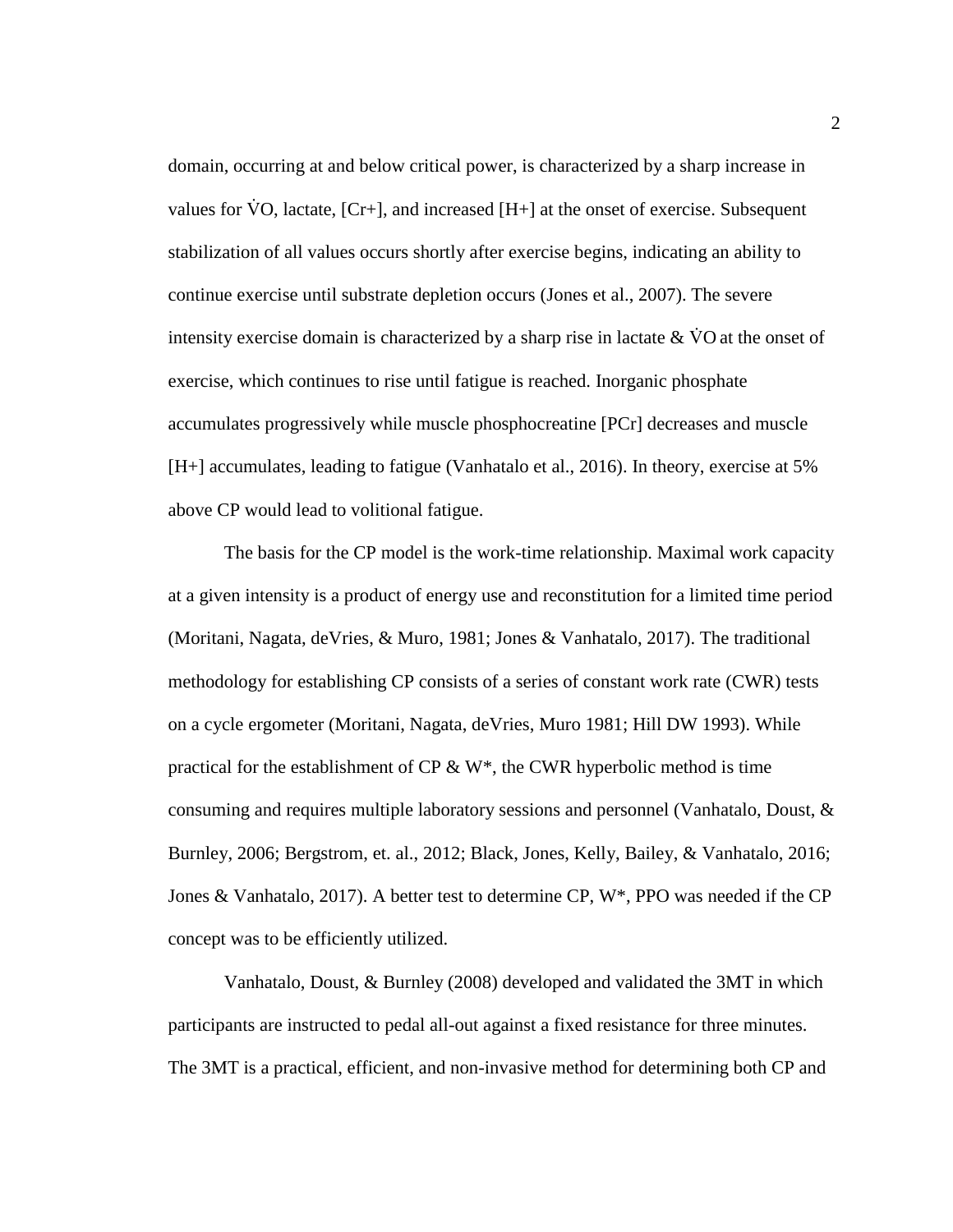domain, occurring at and below critical power, is characterized by a sharp increase in values for  $VO$ , lactate,  $[Cr+]$ , and increased  $[H+]$  at the onset of exercise. Subsequent stabilization of all values occurs shortly after exercise begins, indicating an ability to continue exercise until substrate depletion occurs (Jones et al., 2007). The severe intensity exercise domain is characterized by a sharp rise in lactate  $& VO$  at the onset of exercise, which continues to rise until fatigue is reached. Inorganic phosphate accumulates progressively while muscle phosphocreatine [PCr] decreases and muscle [H+] accumulates, leading to fatigue (Vanhatalo et al., 2016). In theory, exercise at 5% above CP would lead to volitional fatigue.

The basis for the CP model is the work-time relationship. Maximal work capacity at a given intensity is a product of energy use and reconstitution for a limited time period (Moritani, Nagata, deVries, & Muro, 1981; Jones & Vanhatalo, 2017). The traditional methodology for establishing CP consists of a series of constant work rate (CWR) tests on a cycle ergometer (Moritani, Nagata, deVries, Muro 1981; Hill DW 1993). While practical for the establishment of CP & W<sup>\*</sup>, the CWR hyperbolic method is time consuming and requires multiple laboratory sessions and personnel (Vanhatalo, Doust, & Burnley, 2006; Bergstrom, et. al., 2012; Black, Jones, Kelly, Bailey, & Vanhatalo, 2016; Jones & Vanhatalo, 2017). A better test to determine CP, W\*, PPO was needed if the CP concept was to be efficiently utilized.

Vanhatalo, Doust, & Burnley (2008) developed and validated the 3MT in which participants are instructed to pedal all-out against a fixed resistance for three minutes. The 3MT is a practical, efficient, and non-invasive method for determining both CP and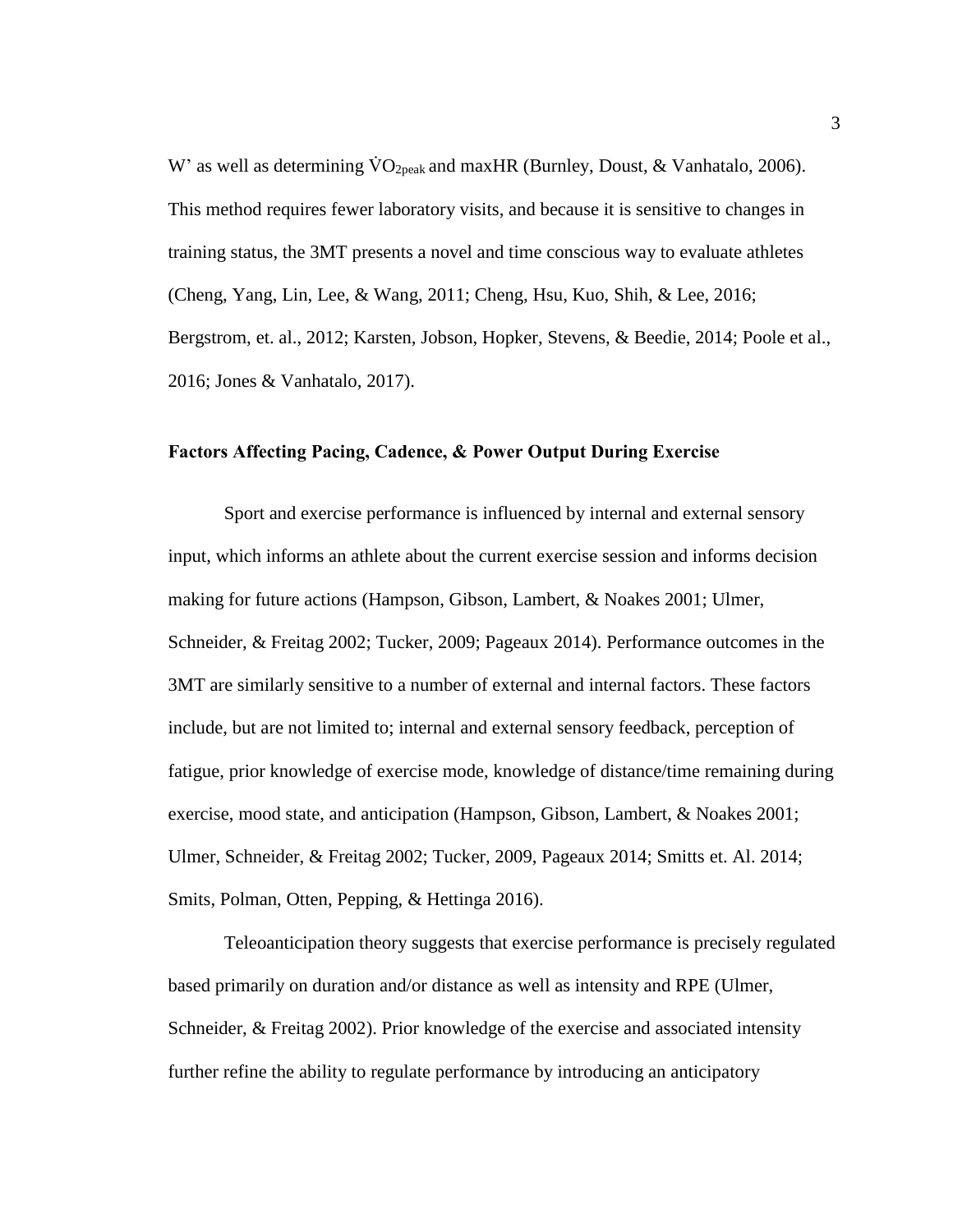W' as well as determining  $\rm \dot{VO}_{2peak}$  and maxHR (Burnley, Doust, & Vanhatalo, 2006). This method requires fewer laboratory visits, and because it is sensitive to changes in training status, the 3MT presents a novel and time conscious way to evaluate athletes (Cheng, Yang, Lin, Lee, & Wang, 2011; Cheng, Hsu, Kuo, Shih, & Lee, 2016; Bergstrom, et. al., 2012; Karsten, Jobson, Hopker, Stevens, & Beedie, 2014; Poole et al., 2016; Jones & Vanhatalo, 2017).

### <span id="page-7-0"></span>**Factors Affecting Pacing, Cadence, & Power Output During Exercise**

Sport and exercise performance is influenced by internal and external sensory input, which informs an athlete about the current exercise session and informs decision making for future actions (Hampson, Gibson, Lambert, & Noakes 2001; Ulmer, Schneider, & Freitag 2002; Tucker, 2009; Pageaux 2014). Performance outcomes in the 3MT are similarly sensitive to a number of external and internal factors. These factors include, but are not limited to; internal and external sensory feedback, perception of fatigue, prior knowledge of exercise mode, knowledge of distance/time remaining during exercise, mood state, and anticipation (Hampson, Gibson, Lambert, & Noakes 2001; Ulmer, Schneider, & Freitag 2002; Tucker, 2009, Pageaux 2014; Smitts et. Al. 2014; Smits, Polman, Otten, Pepping, & Hettinga 2016).

Teleoanticipation theory suggests that exercise performance is precisely regulated based primarily on duration and/or distance as well as intensity and RPE (Ulmer, Schneider, & Freitag 2002). Prior knowledge of the exercise and associated intensity further refine the ability to regulate performance by introducing an anticipatory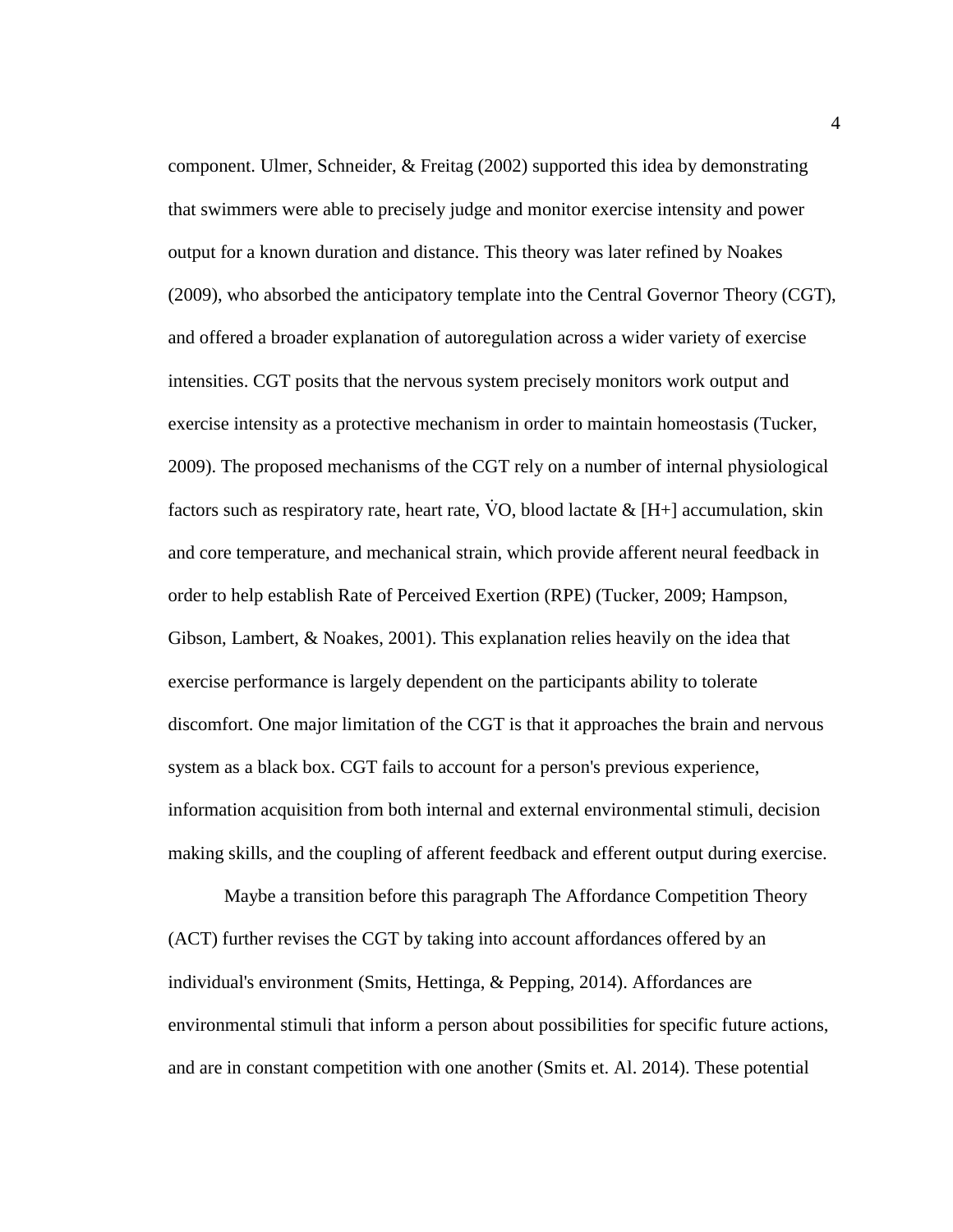component. Ulmer, Schneider, & Freitag (2002) supported this idea by demonstrating that swimmers were able to precisely judge and monitor exercise intensity and power output for a known duration and distance. This theory was later refined by Noakes (2009), who absorbed the anticipatory template into the Central Governor Theory (CGT), and offered a broader explanation of autoregulation across a wider variety of exercise intensities. CGT posits that the nervous system precisely monitors work output and exercise intensity as a protective mechanism in order to maintain homeostasis (Tucker, 2009). The proposed mechanisms of the CGT rely on a number of internal physiological factors such as respiratory rate, heart rate, VO, blood lactate  $\&$  [H+] accumulation, skin and core temperature, and mechanical strain, which provide afferent neural feedback in order to help establish Rate of Perceived Exertion (RPE) (Tucker, 2009; Hampson, Gibson, Lambert, & Noakes, 2001). This explanation relies heavily on the idea that exercise performance is largely dependent on the participants ability to tolerate discomfort. One major limitation of the CGT is that it approaches the brain and nervous system as a black box. CGT fails to account for a person's previous experience, information acquisition from both internal and external environmental stimuli, decision making skills, and the coupling of afferent feedback and efferent output during exercise.

Maybe a transition before this paragraph The Affordance Competition Theory (ACT) further revises the CGT by taking into account affordances offered by an individual's environment (Smits, Hettinga, & Pepping, 2014). Affordances are environmental stimuli that inform a person about possibilities for specific future actions, and are in constant competition with one another (Smits et. Al. 2014). These potential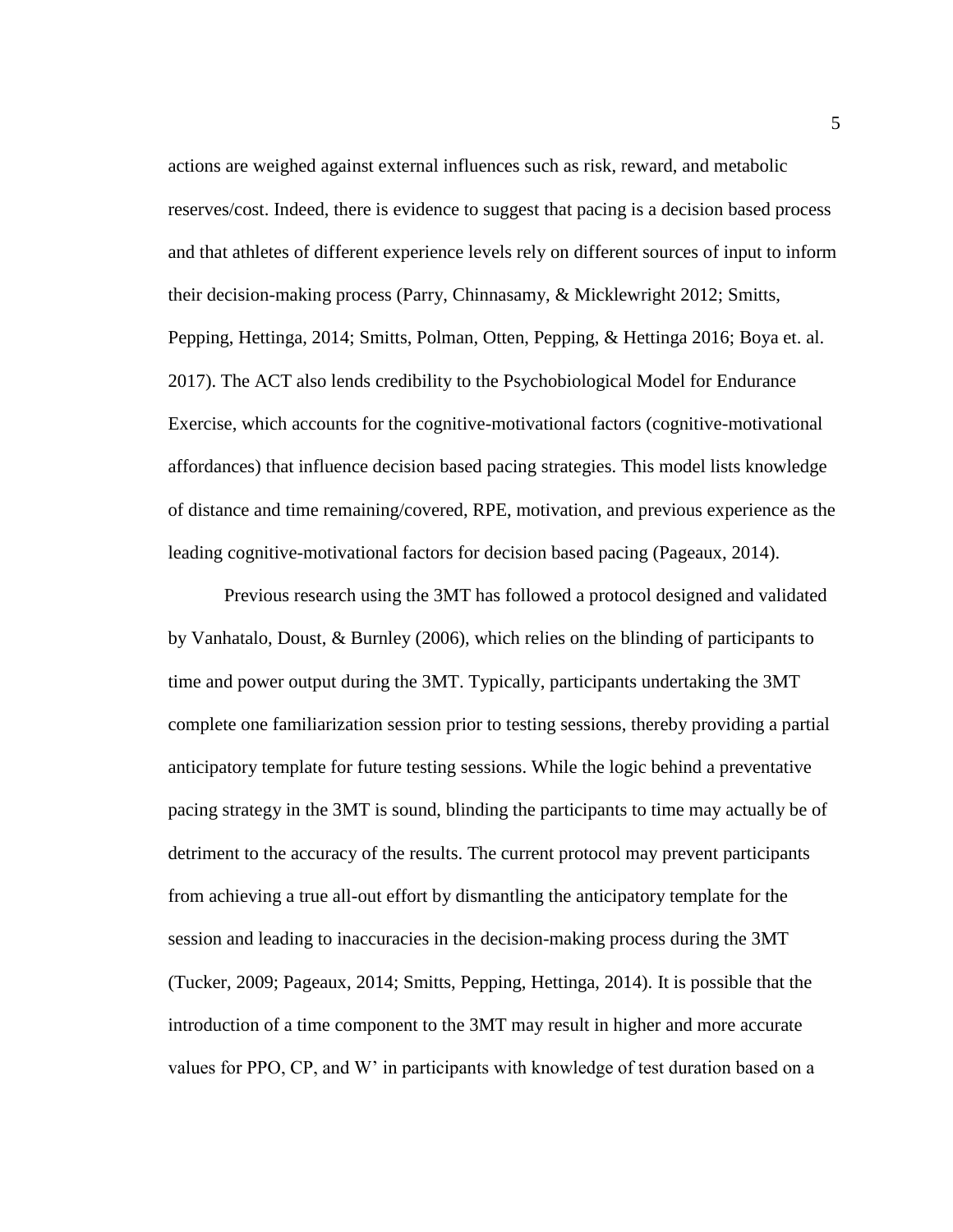actions are weighed against external influences such as risk, reward, and metabolic reserves/cost. Indeed, there is evidence to suggest that pacing is a decision based process and that athletes of different experience levels rely on different sources of input to inform their decision-making process (Parry, Chinnasamy, & Micklewright 2012; Smitts, Pepping, Hettinga, 2014; Smitts, Polman, Otten, Pepping, & Hettinga 2016; Boya et. al. 2017). The ACT also lends credibility to the Psychobiological Model for Endurance Exercise, which accounts for the cognitive-motivational factors (cognitive-motivational affordances) that influence decision based pacing strategies. This model lists knowledge of distance and time remaining/covered, RPE, motivation, and previous experience as the leading cognitive-motivational factors for decision based pacing (Pageaux, 2014).

Previous research using the 3MT has followed a protocol designed and validated by Vanhatalo, Doust, & Burnley (2006), which relies on the blinding of participants to time and power output during the 3MT. Typically, participants undertaking the 3MT complete one familiarization session prior to testing sessions, thereby providing a partial anticipatory template for future testing sessions. While the logic behind a preventative pacing strategy in the 3MT is sound, blinding the participants to time may actually be of detriment to the accuracy of the results. The current protocol may prevent participants from achieving a true all-out effort by dismantling the anticipatory template for the session and leading to inaccuracies in the decision-making process during the 3MT (Tucker, 2009; Pageaux, 2014; Smitts, Pepping, Hettinga, 2014). It is possible that the introduction of a time component to the 3MT may result in higher and more accurate values for PPO, CP, and W' in participants with knowledge of test duration based on a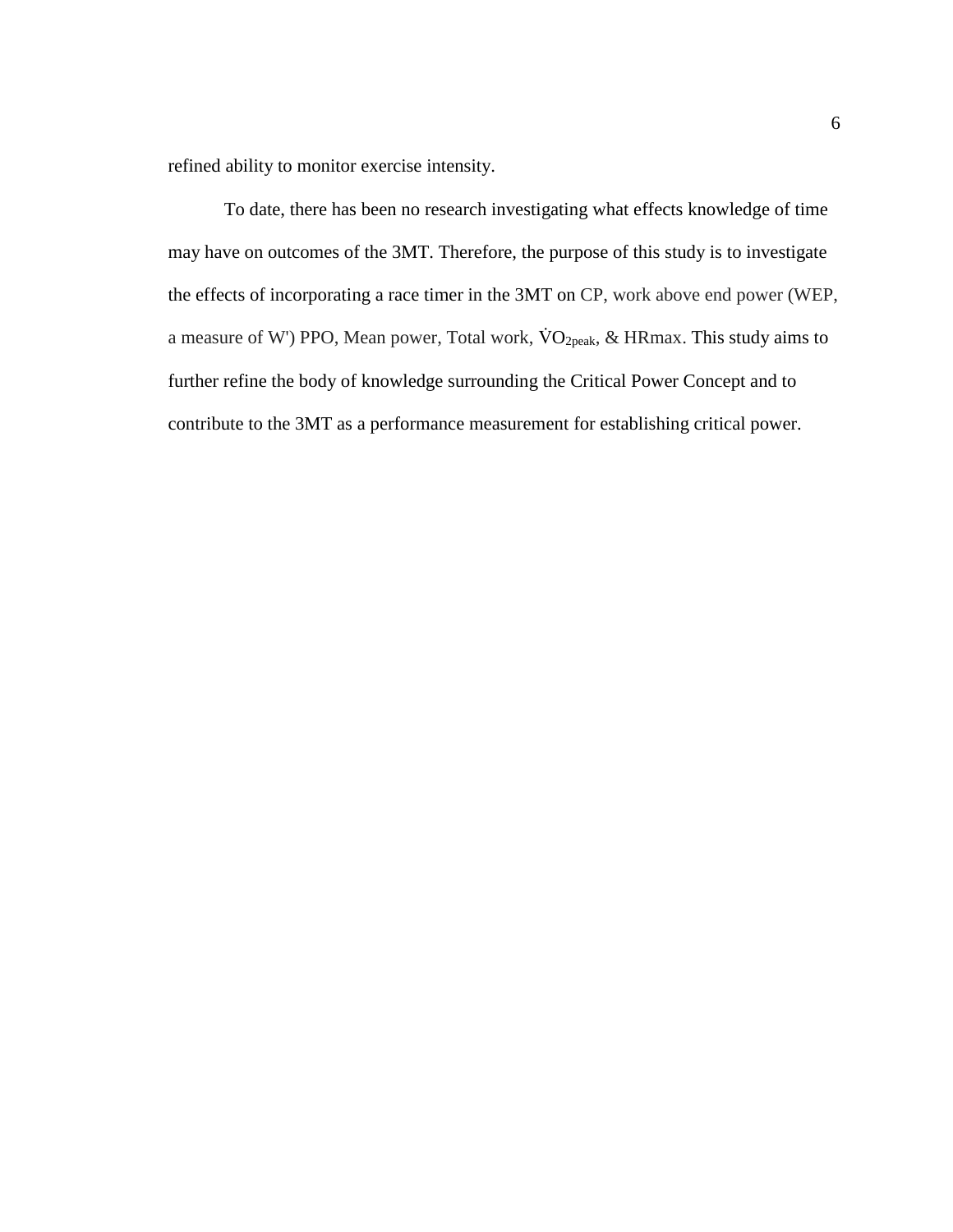refined ability to monitor exercise intensity.

To date, there has been no research investigating what effects knowledge of time may have on outcomes of the 3MT. Therefore, the purpose of this study is to investigate the effects of incorporating a race timer in the 3MT on CP, work above end power (WEP, a measure of W') PPO, Mean power, Total work,  $\text{VO}_{2\text{peak}}$ , & HRmax. This study aims to further refine the body of knowledge surrounding the Critical Power Concept and to contribute to the 3MT as a performance measurement for establishing critical power.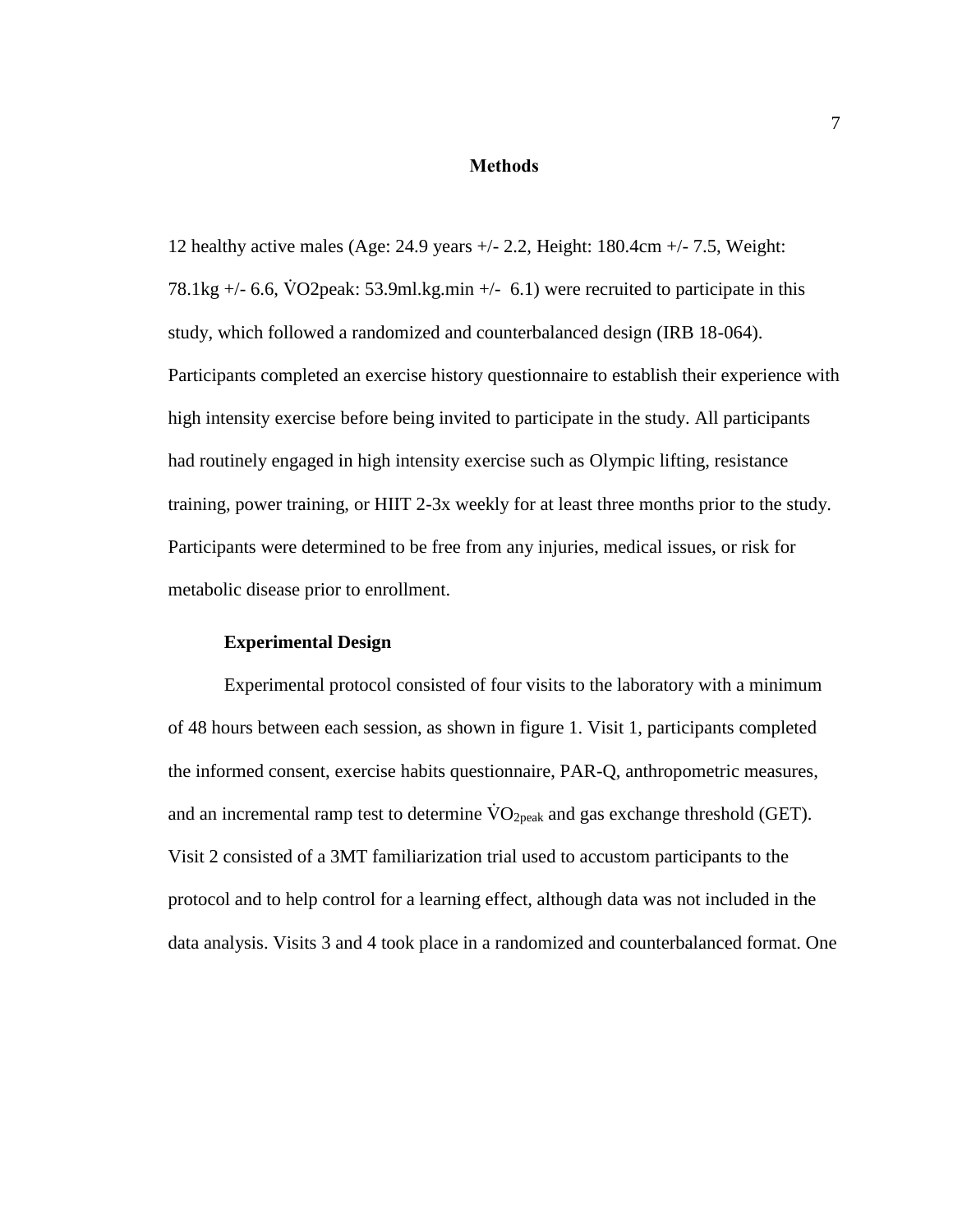### **Methods**

<span id="page-11-0"></span>12 healthy active males (Age: 24.9 years +/- 2.2, Height: 180.4cm +/- 7.5, Weight: 78.1kg  $+/-$  6.6, VO2peak: 53.9ml.kg.min  $+/-$  6.1) were recruited to participate in this study, which followed a randomized and counterbalanced design (IRB 18-064). Participants completed an exercise history questionnaire to establish their experience with high intensity exercise before being invited to participate in the study. All participants had routinely engaged in high intensity exercise such as Olympic lifting, resistance training, power training, or HIIT 2-3x weekly for at least three months prior to the study. Participants were determined to be free from any injuries, medical issues, or risk for metabolic disease prior to enrollment.

### **Experimental Design**

<span id="page-11-1"></span>Experimental protocol consisted of four visits to the laboratory with a minimum of 48 hours between each session, as shown in figure 1. Visit 1, participants completed the informed consent, exercise habits questionnaire, PAR-Q, anthropometric measures, and an incremental ramp test to determine  $\rm \dot{VO}_{2peak}$  and gas exchange threshold (GET). Visit 2 consisted of a 3MT familiarization trial used to accustom participants to the protocol and to help control for a learning effect, although data was not included in the data analysis. Visits 3 and 4 took place in a randomized and counterbalanced format. One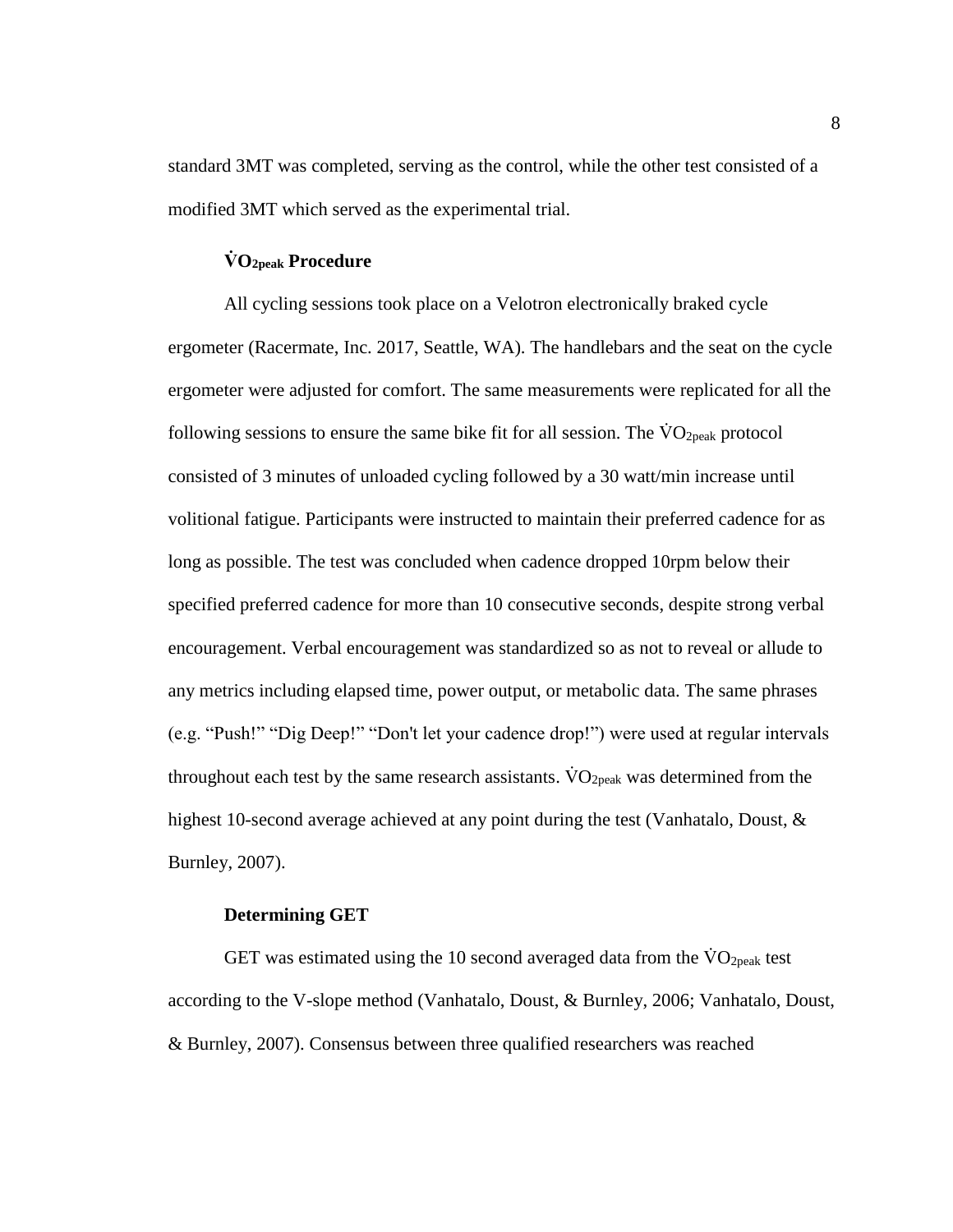standard 3MT was completed, serving as the control, while the other test consisted of a modified 3MT which served as the experimental trial.

### **V̇ O2peak Procedure**

<span id="page-12-0"></span>All cycling sessions took place on a Velotron electronically braked cycle ergometer (Racermate, Inc. 2017, Seattle, WA). The handlebars and the seat on the cycle ergometer were adjusted for comfort. The same measurements were replicated for all the following sessions to ensure the same bike fit for all session. The  $\rm \ddot{V}O_{2peak}$  protocol consisted of 3 minutes of unloaded cycling followed by a 30 watt/min increase until volitional fatigue. Participants were instructed to maintain their preferred cadence for as long as possible. The test was concluded when cadence dropped 10rpm below their specified preferred cadence for more than 10 consecutive seconds, despite strong verbal encouragement. Verbal encouragement was standardized so as not to reveal or allude to any metrics including elapsed time, power output, or metabolic data. The same phrases (e.g. "Push!" "Dig Deep!" "Don't let your cadence drop!") were used at regular intervals throughout each test by the same research assistants.  $VO<sub>2peak</sub>$  was determined from the highest 10-second average achieved at any point during the test (Vanhatalo, Doust, & Burnley, 2007).

### **Determining GET**

<span id="page-12-1"></span>GET was estimated using the 10 second averaged data from the  $\rm\ddot{V}O_{2peak}$  test according to the V-slope method (Vanhatalo, Doust, & Burnley, 2006; Vanhatalo, Doust, & Burnley, 2007). Consensus between three qualified researchers was reached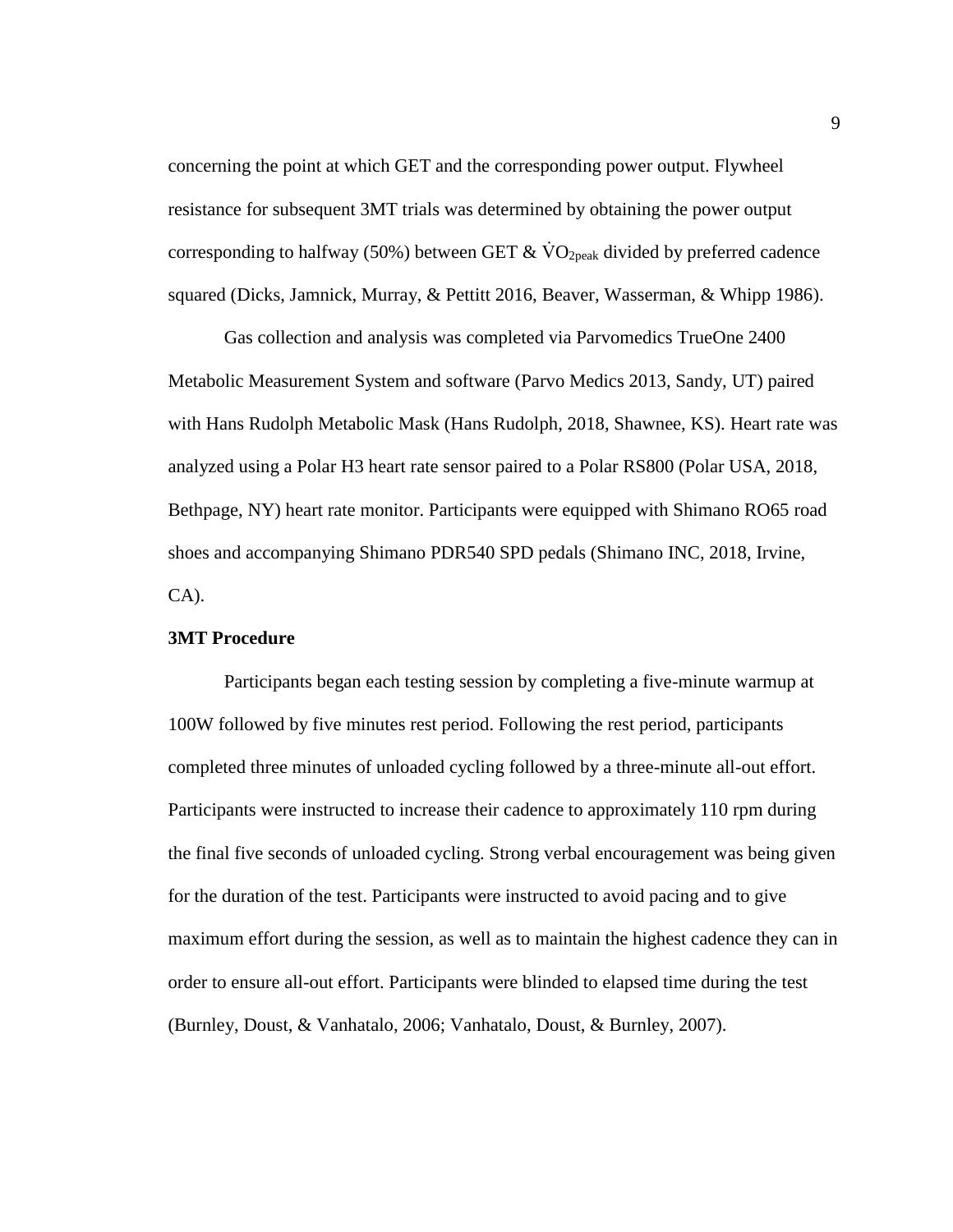concerning the point at which GET and the corresponding power output. Flywheel resistance for subsequent 3MT trials was determined by obtaining the power output corresponding to halfway (50%) between GET  $& \text{VO}_{2\text{peak}}$  divided by preferred cadence squared (Dicks, Jamnick, Murray, & Pettitt 2016, Beaver, Wasserman, & Whipp 1986).

Gas collection and analysis was completed via Parvomedics TrueOne 2400 Metabolic Measurement System and software (Parvo Medics 2013, Sandy, UT) paired with Hans Rudolph Metabolic Mask (Hans Rudolph, 2018, Shawnee, KS). Heart rate was analyzed using a Polar H3 heart rate sensor paired to a Polar RS800 (Polar USA, 2018, Bethpage, NY) heart rate monitor. Participants were equipped with Shimano RO65 road shoes and accompanying Shimano PDR540 SPD pedals (Shimano INC, 2018, Irvine, CA).

## <span id="page-13-0"></span>**3MT Procedure**

Participants began each testing session by completing a five-minute warmup at 100W followed by five minutes rest period. Following the rest period, participants completed three minutes of unloaded cycling followed by a three-minute all-out effort. Participants were instructed to increase their cadence to approximately 110 rpm during the final five seconds of unloaded cycling. Strong verbal encouragement was being given for the duration of the test. Participants were instructed to avoid pacing and to give maximum effort during the session, as well as to maintain the highest cadence they can in order to ensure all-out effort. Participants were blinded to elapsed time during the test (Burnley, Doust, & Vanhatalo, 2006; Vanhatalo, Doust, & Burnley, 2007).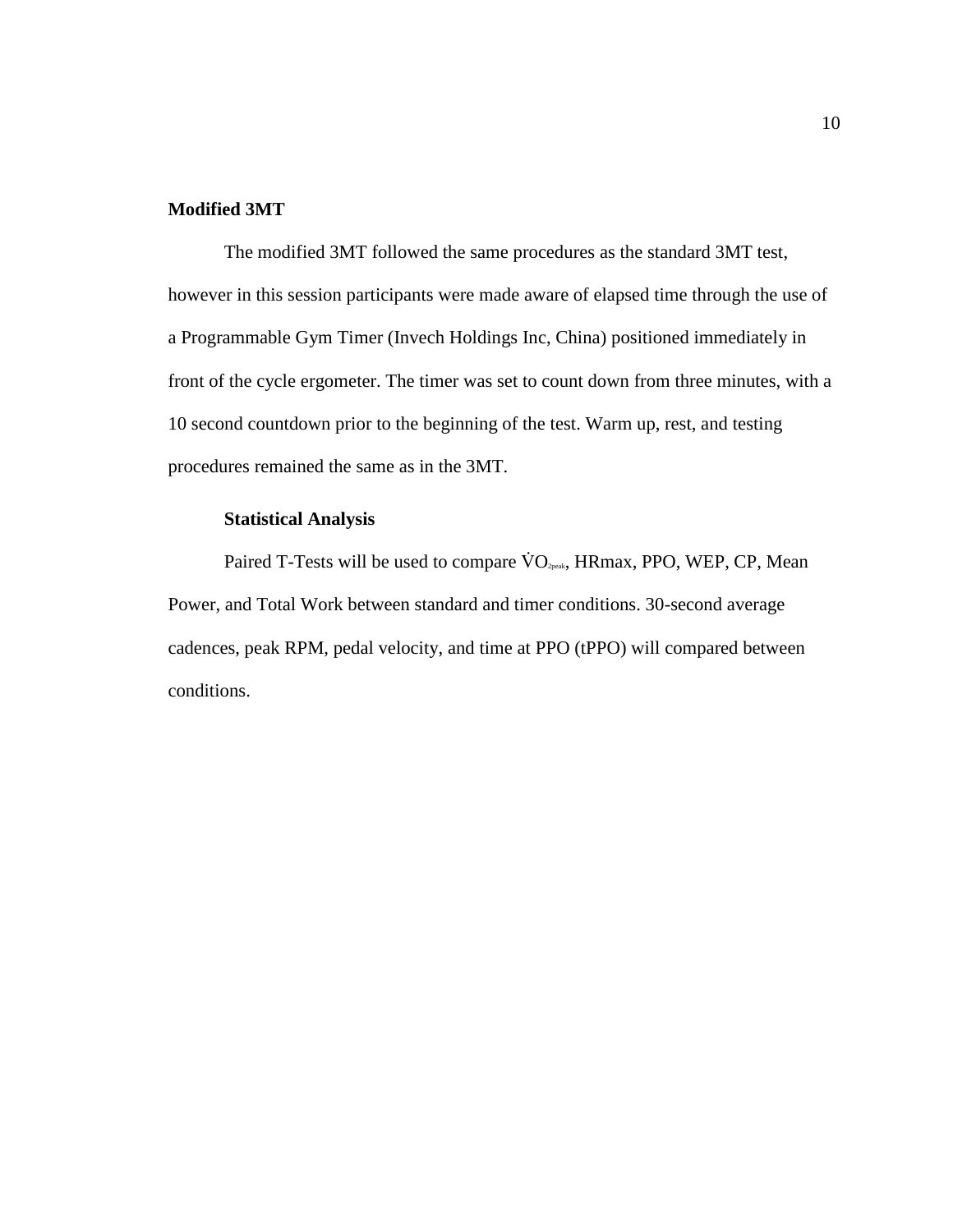### <span id="page-14-0"></span>**Modified 3MT**

The modified 3MT followed the same procedures as the standard 3MT test, however in this session participants were made aware of elapsed time through the use of a Programmable Gym Timer (Invech Holdings Inc, China) positioned immediately in front of the cycle ergometer. The timer was set to count down from three minutes, with a 10 second countdown prior to the beginning of the test. Warm up, rest, and testing procedures remained the same as in the 3MT.

### **Statistical Analysis**

<span id="page-14-1"></span>Paired T-Tests will be used to compare  $\rm \dot{VO}_{2}$ <sub>peak</sub>, HRmax, PPO, WEP, CP, Mean Power, and Total Work between standard and timer conditions. 30-second average cadences, peak RPM, pedal velocity, and time at PPO (tPPO) will compared between conditions.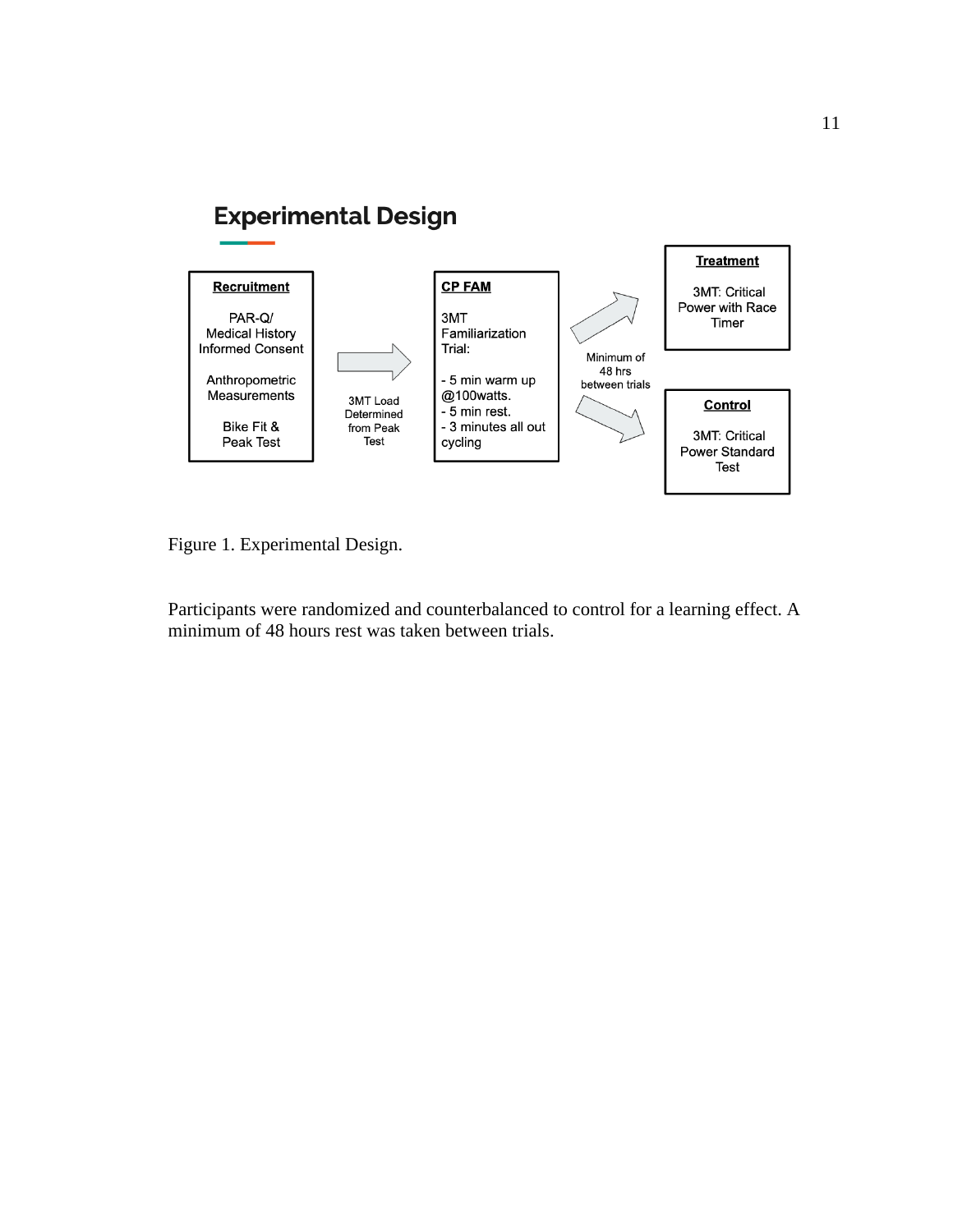# **Experimental Design**



<span id="page-15-0"></span>Figure 1. Experimental Design.

Participants were randomized and counterbalanced to control for a learning effect. A minimum of 48 hours rest was taken between trials.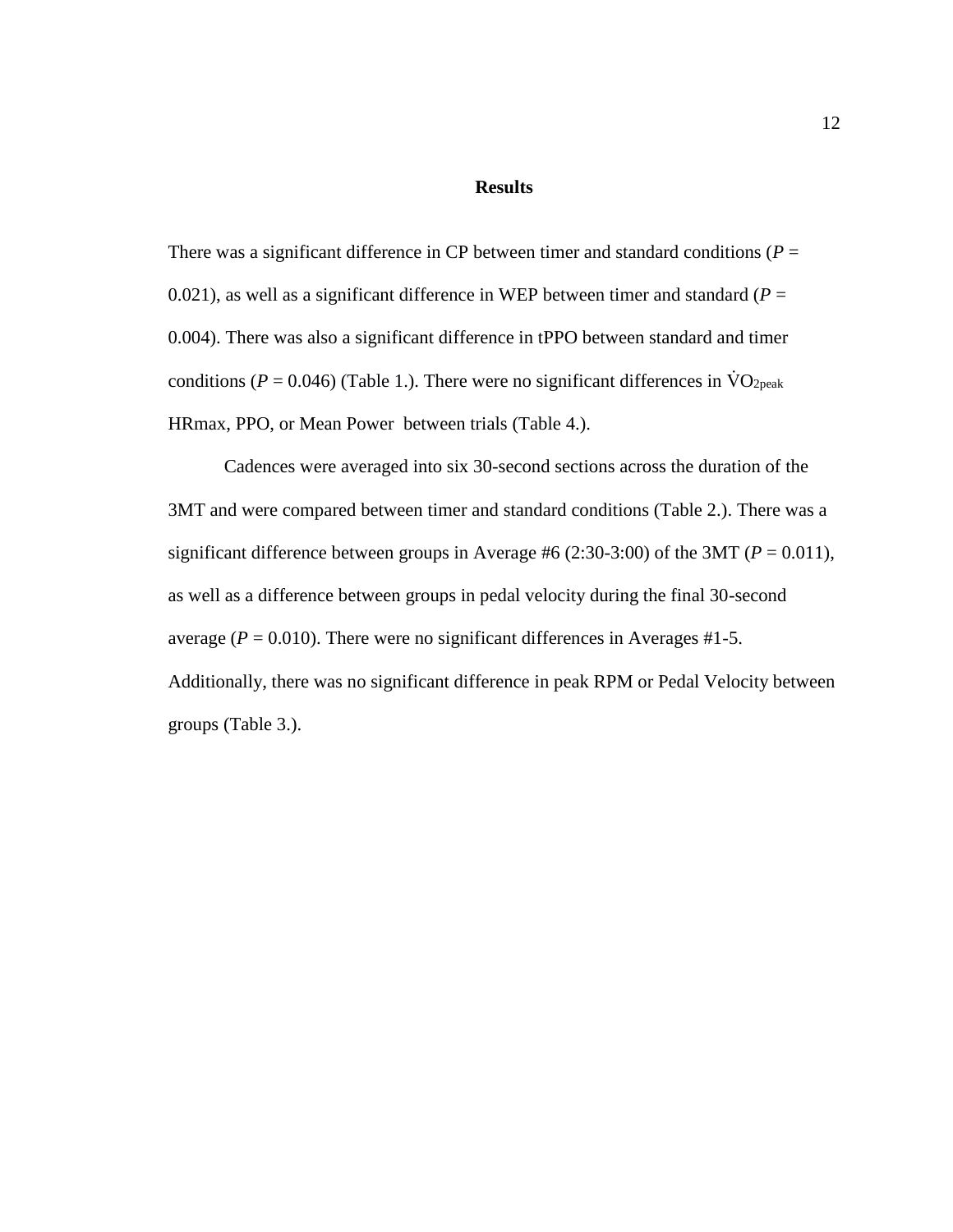#### **Results**

There was a significant difference in CP between timer and standard conditions ( $P =$ 0.021), as well as a significant difference in WEP between timer and standard  $(P =$ 0.004). There was also a significant difference in tPPO between standard and timer conditions ( $P = 0.046$ ) (Table 1.). There were no significant differences in  $\rm \dot{V}O_{2peak}$ HRmax, PPO, or Mean Power between trials (Table 4.).

Cadences were averaged into six 30-second sections across the duration of the 3MT and were compared between timer and standard conditions (Table 2.). There was a significant difference between groups in Average #6 (2:30-3:00) of the 3MT ( $P = 0.011$ ), as well as a difference between groups in pedal velocity during the final 30-second average ( $P = 0.010$ ). There were no significant differences in Averages #1-5. Additionally, there was no significant difference in peak RPM or Pedal Velocity between groups (Table 3.).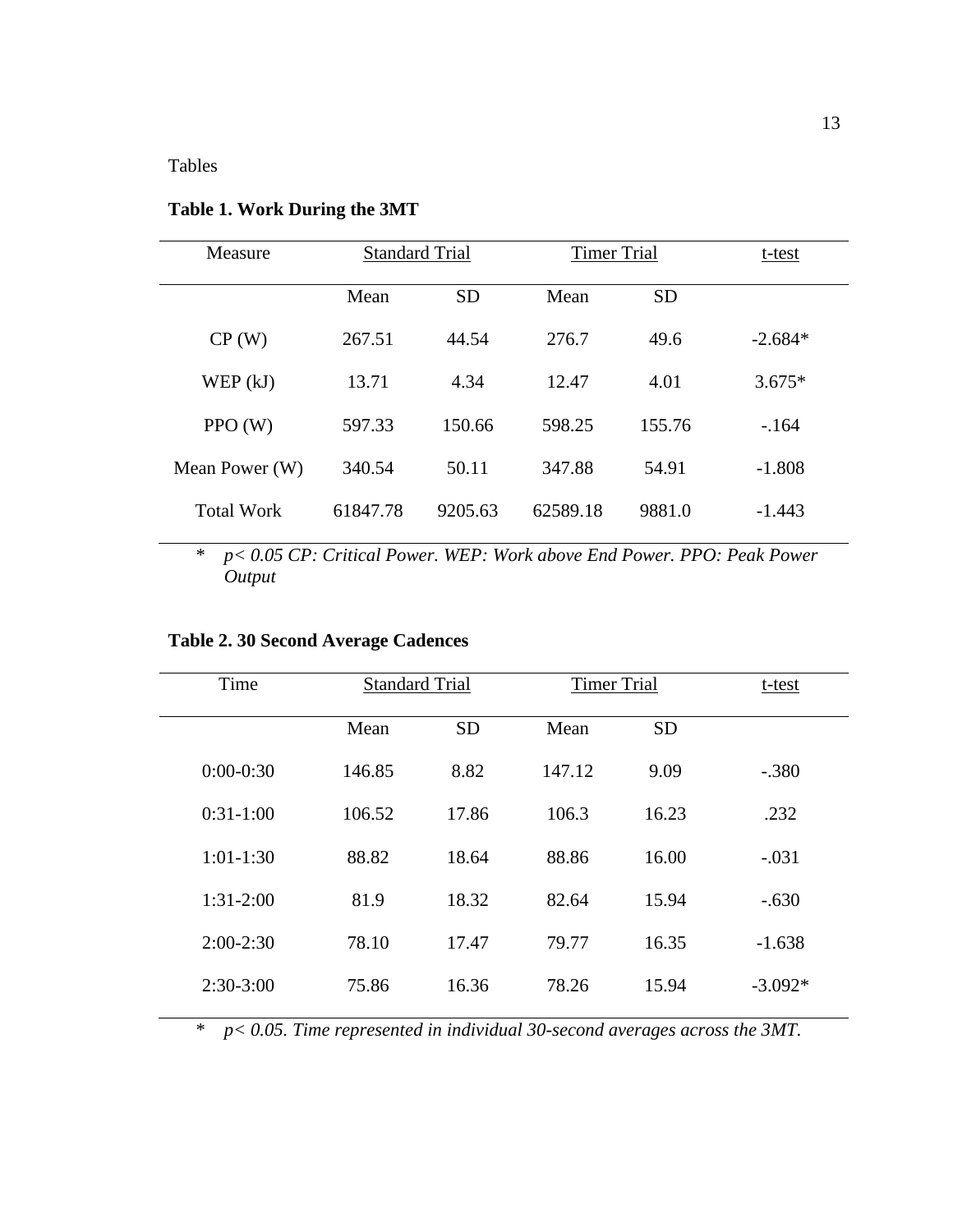l,

| Measure           | <b>Standard Trial</b> |           | <b>Timer Trial</b> |           | t-test    |
|-------------------|-----------------------|-----------|--------------------|-----------|-----------|
|                   | Mean                  | <b>SD</b> | Mean               | <b>SD</b> |           |
| CP(W)             | 267.51                | 44.54     | 276.7              | 49.6      | $-2.684*$ |
| WEP(kJ)           | 13.71                 | 4.34      | 12.47              | 4.01      | $3.675*$  |
| PPO(W)            | 597.33                | 150.66    | 598.25             | 155.76    | $-164$    |
| Mean Power (W)    | 340.54                | 50.11     | 347.88             | 54.91     | $-1.808$  |
| <b>Total Work</b> | 61847.78              | 9205.63   | 62589.18           | 9881.0    | $-1.443$  |

## <span id="page-17-0"></span>**Table 1. Work During the 3MT**

\* *p< 0.05 CP: Critical Power. WEP: Work above End Power. PPO: Peak Power Output*

## <span id="page-17-1"></span>**Table 2. 30 Second Average Cadences**

| Time        | <b>Standard Trial</b> |           | <b>Timer Trial</b> |           | t-test    |
|-------------|-----------------------|-----------|--------------------|-----------|-----------|
|             | Mean                  | <b>SD</b> | Mean               | <b>SD</b> |           |
| $0:00-0:30$ | 146.85                | 8.82      | 147.12             | 9.09      | $-.380$   |
| $0:31-1:00$ | 106.52                | 17.86     | 106.3              | 16.23     | .232      |
| $1:01-1:30$ | 88.82                 | 18.64     | 88.86              | 16.00     | $-.031$   |
| $1:31-2:00$ | 81.9                  | 18.32     | 82.64              | 15.94     | $-.630$   |
| $2:00-2:30$ | 78.10                 | 17.47     | 79.77              | 16.35     | $-1.638$  |
| $2:30-3:00$ | 75.86                 | 16.36     | 78.26              | 15.94     | $-3.092*$ |
|             |                       |           |                    |           |           |

\* *p< 0.05. Time represented in individual 30-second averages across the 3MT.*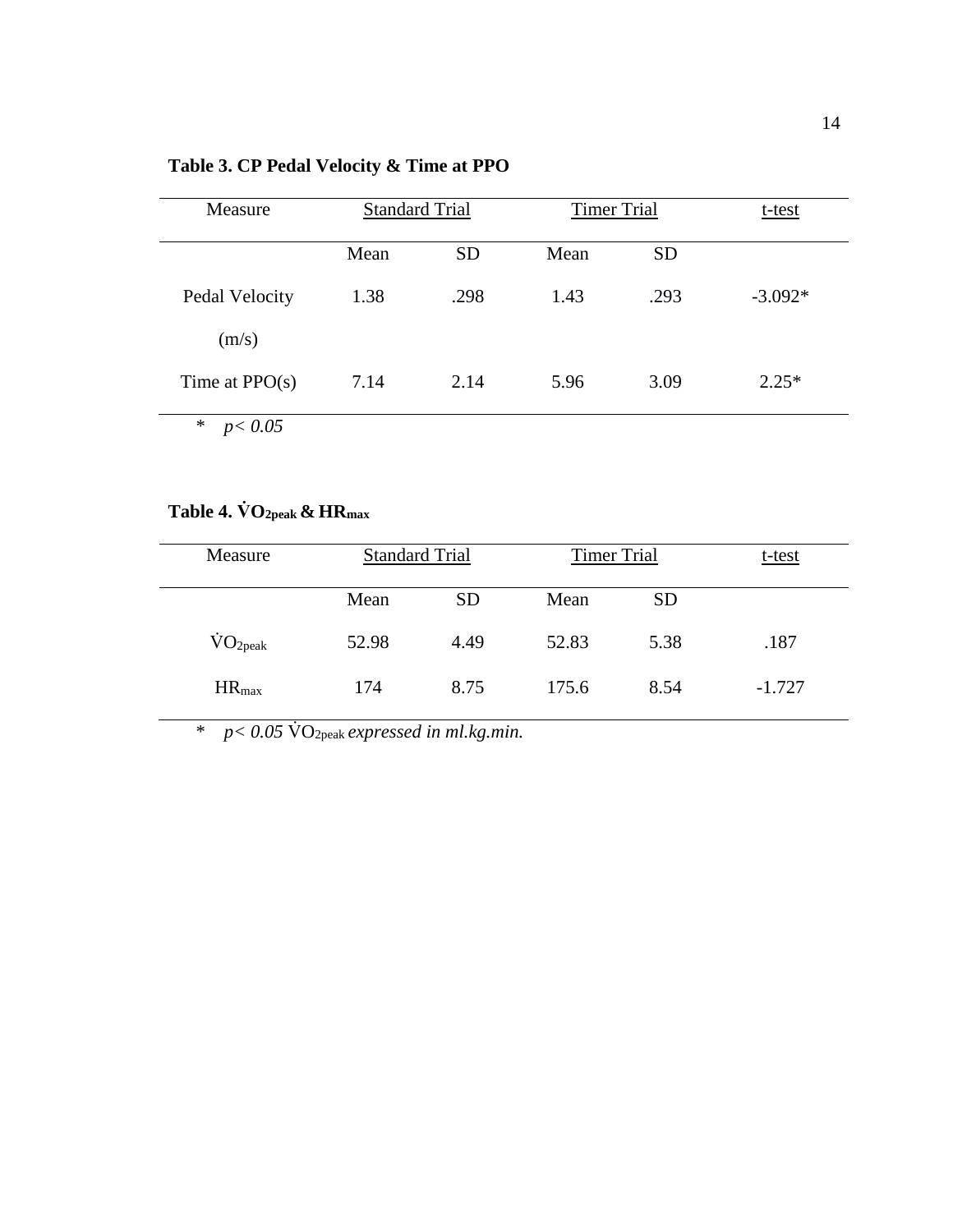<span id="page-18-0"></span>

| Measure            | <b>Standard Trial</b> |           | <b>Timer Trial</b> |           | t-test    |  |  |
|--------------------|-----------------------|-----------|--------------------|-----------|-----------|--|--|
|                    | Mean                  | <b>SD</b> | Mean               | <b>SD</b> |           |  |  |
| Pedal Velocity     | 1.38                  | .298      | 1.43               | .293      | $-3.092*$ |  |  |
| (m/s)              |                       |           |                    |           |           |  |  |
| Time at $PPO(s)$   | 7.14                  | 2.14      | 5.96               | 3.09      | $2.25*$   |  |  |
| $\ast$<br>p < 0.05 |                       |           |                    |           |           |  |  |

# <span id="page-18-1"></span>**Table 4. V̇ O2peak & HRmax**

| Measure                |       | <b>Standard Trial</b> |       | <b>Timer Trial</b> |          | $t$ -test |
|------------------------|-------|-----------------------|-------|--------------------|----------|-----------|
|                        | Mean  | <b>SD</b>             | Mean  | <b>SD</b>          |          |           |
| $\rm \dot{VO}_{2peak}$ | 52.98 | 4.49                  | 52.83 | 5.38               | .187     |           |
| $HR_{max}$             | 174   | 8.75                  | 175.6 | 8.54               | $-1.727$ |           |

\* *p< 0.05* V̇ O2peak *expressed in ml.kg.min.*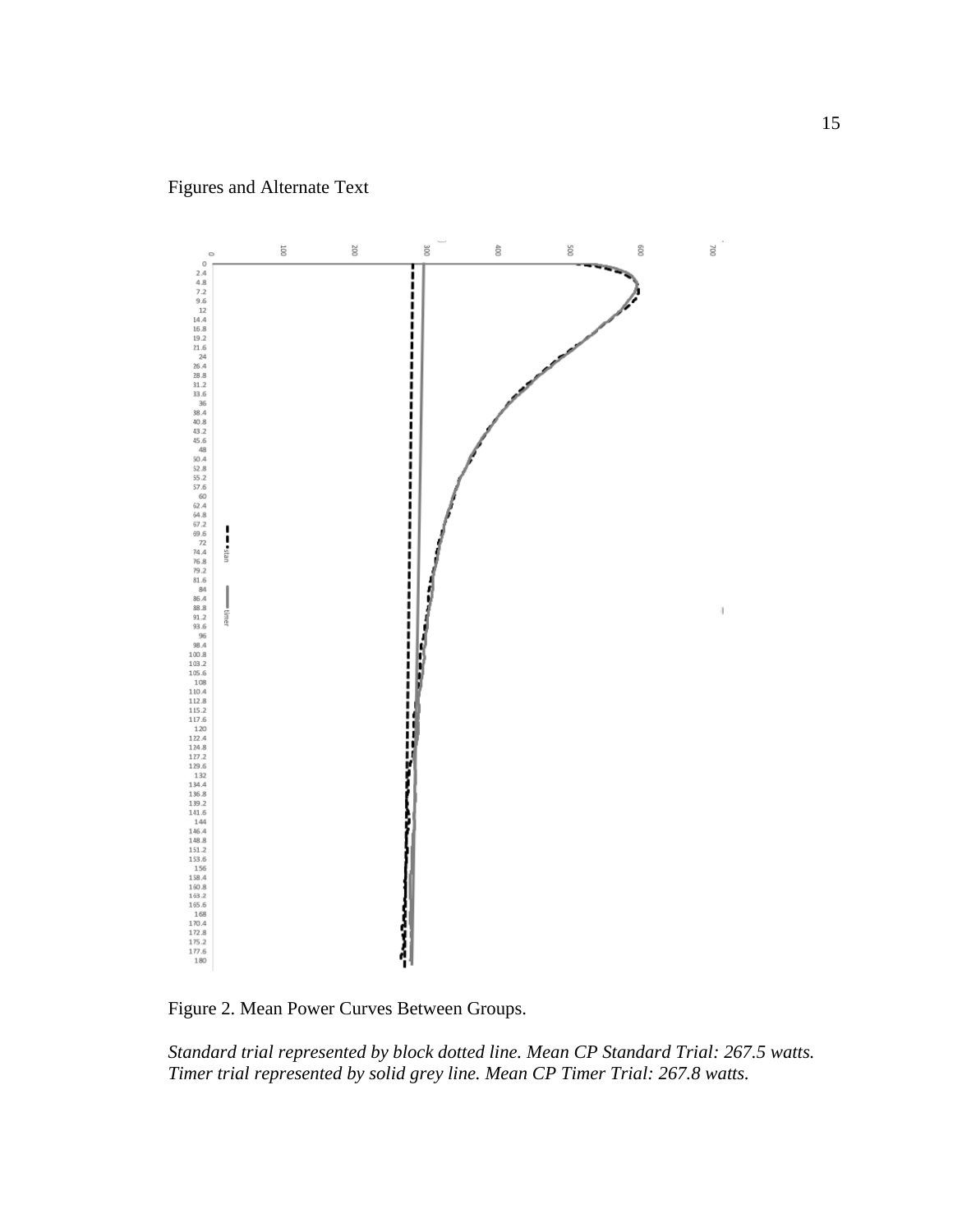

<span id="page-19-0"></span>Figure 2. Mean Power Curves Between Groups.

*Standard trial represented by block dotted line. Mean CP Standard Trial: 267.5 watts. Timer trial represented by solid grey line. Mean CP Timer Trial: 267.8 watts.*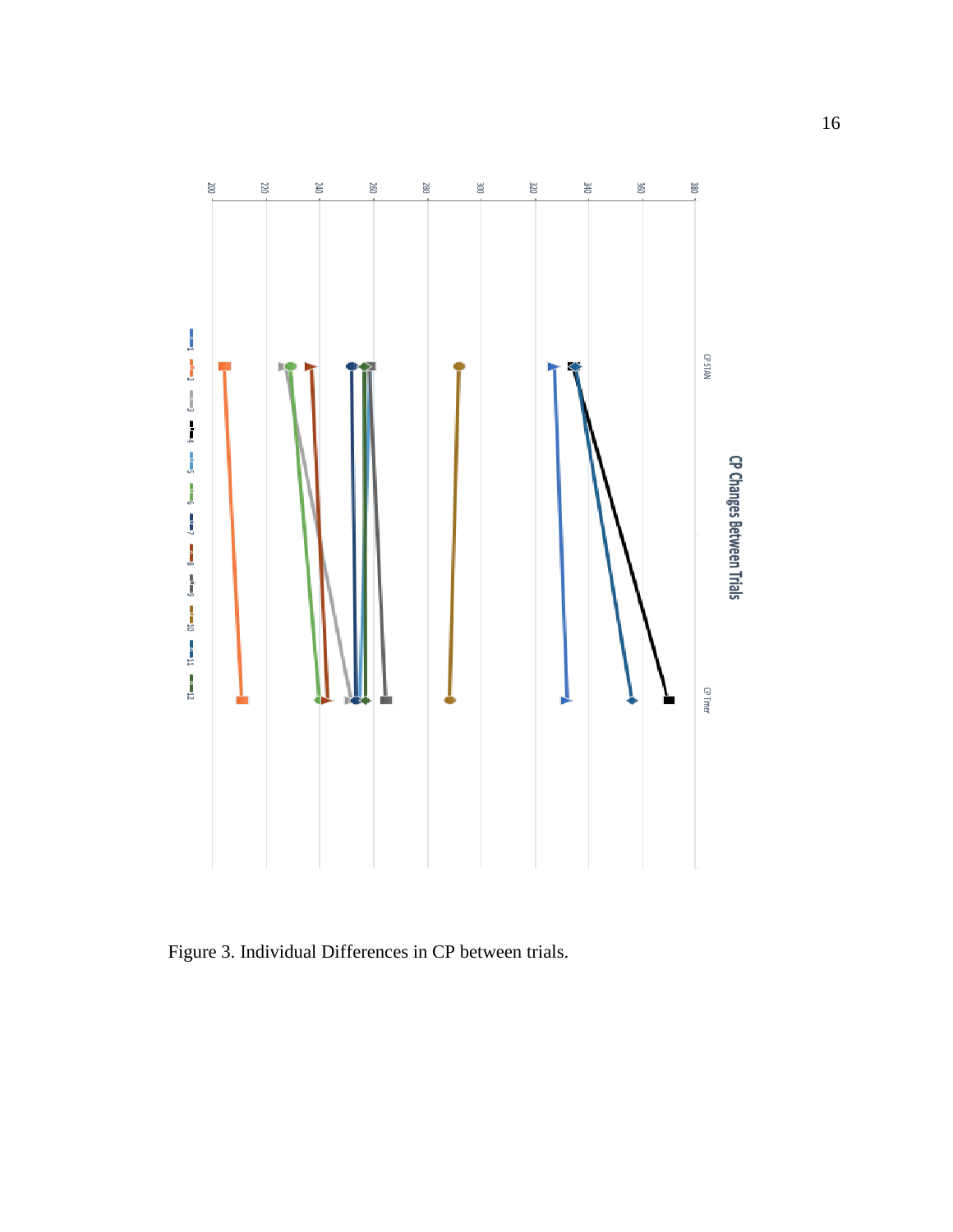

<span id="page-20-0"></span>Figure 3. Individual Differences in CP between trials.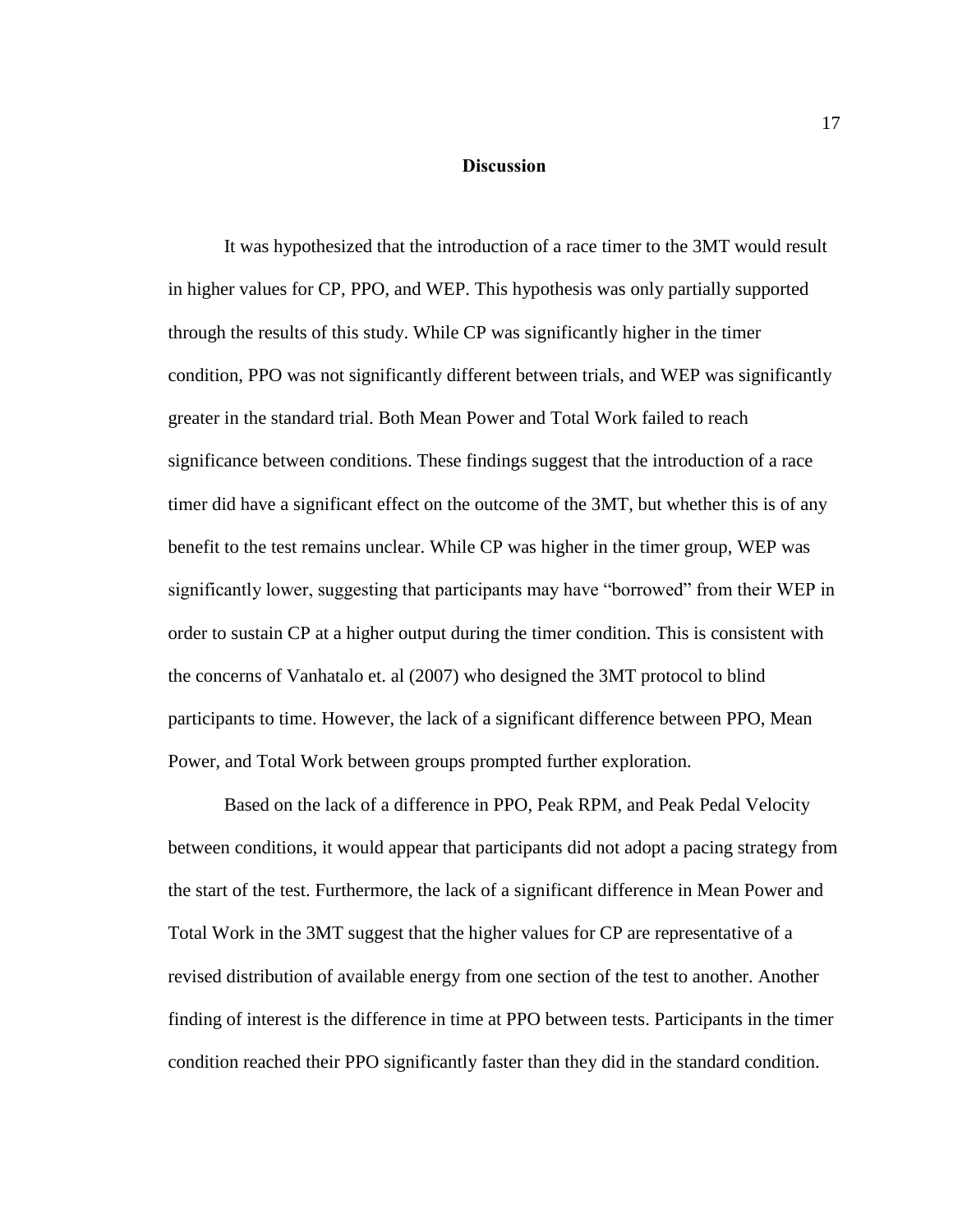### **Discussion**

<span id="page-21-0"></span>It was hypothesized that the introduction of a race timer to the 3MT would result in higher values for CP, PPO, and WEP. This hypothesis was only partially supported through the results of this study. While CP was significantly higher in the timer condition, PPO was not significantly different between trials, and WEP was significantly greater in the standard trial. Both Mean Power and Total Work failed to reach significance between conditions. These findings suggest that the introduction of a race timer did have a significant effect on the outcome of the 3MT, but whether this is of any benefit to the test remains unclear. While CP was higher in the timer group, WEP was significantly lower, suggesting that participants may have "borrowed" from their WEP in order to sustain CP at a higher output during the timer condition. This is consistent with the concerns of Vanhatalo et. al (2007) who designed the 3MT protocol to blind participants to time. However, the lack of a significant difference between PPO, Mean Power, and Total Work between groups prompted further exploration.

Based on the lack of a difference in PPO, Peak RPM, and Peak Pedal Velocity between conditions, it would appear that participants did not adopt a pacing strategy from the start of the test. Furthermore, the lack of a significant difference in Mean Power and Total Work in the 3MT suggest that the higher values for CP are representative of a revised distribution of available energy from one section of the test to another. Another finding of interest is the difference in time at PPO between tests. Participants in the timer condition reached their PPO significantly faster than they did in the standard condition.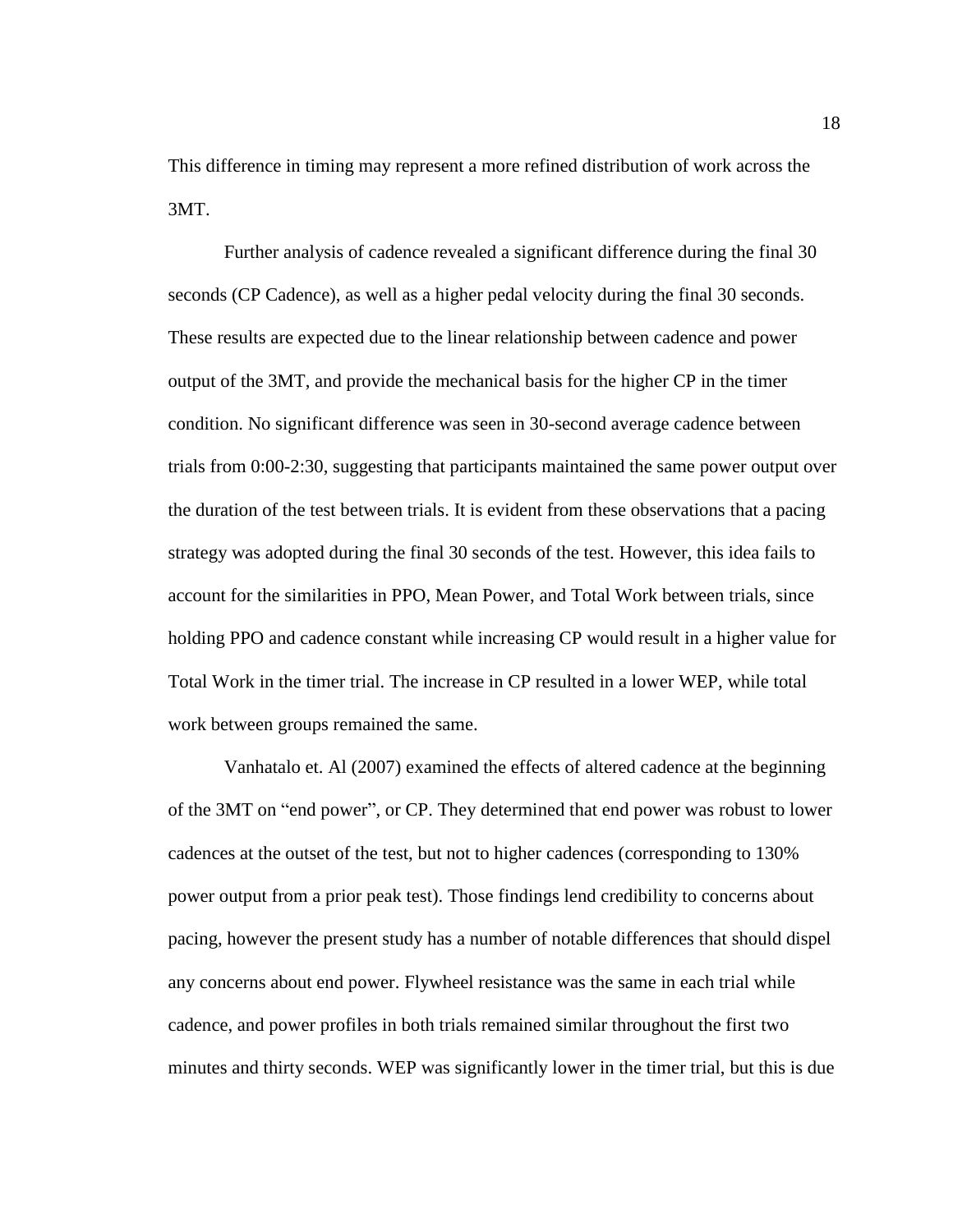This difference in timing may represent a more refined distribution of work across the 3MT.

Further analysis of cadence revealed a significant difference during the final 30 seconds (CP Cadence), as well as a higher pedal velocity during the final 30 seconds. These results are expected due to the linear relationship between cadence and power output of the 3MT, and provide the mechanical basis for the higher CP in the timer condition. No significant difference was seen in 30-second average cadence between trials from 0:00-2:30, suggesting that participants maintained the same power output over the duration of the test between trials. It is evident from these observations that a pacing strategy was adopted during the final 30 seconds of the test. However, this idea fails to account for the similarities in PPO, Mean Power, and Total Work between trials, since holding PPO and cadence constant while increasing CP would result in a higher value for Total Work in the timer trial. The increase in CP resulted in a lower WEP, while total work between groups remained the same.

Vanhatalo et. Al (2007) examined the effects of altered cadence at the beginning of the 3MT on "end power", or CP. They determined that end power was robust to lower cadences at the outset of the test, but not to higher cadences (corresponding to 130% power output from a prior peak test). Those findings lend credibility to concerns about pacing, however the present study has a number of notable differences that should dispel any concerns about end power. Flywheel resistance was the same in each trial while cadence, and power profiles in both trials remained similar throughout the first two minutes and thirty seconds. WEP was significantly lower in the timer trial, but this is due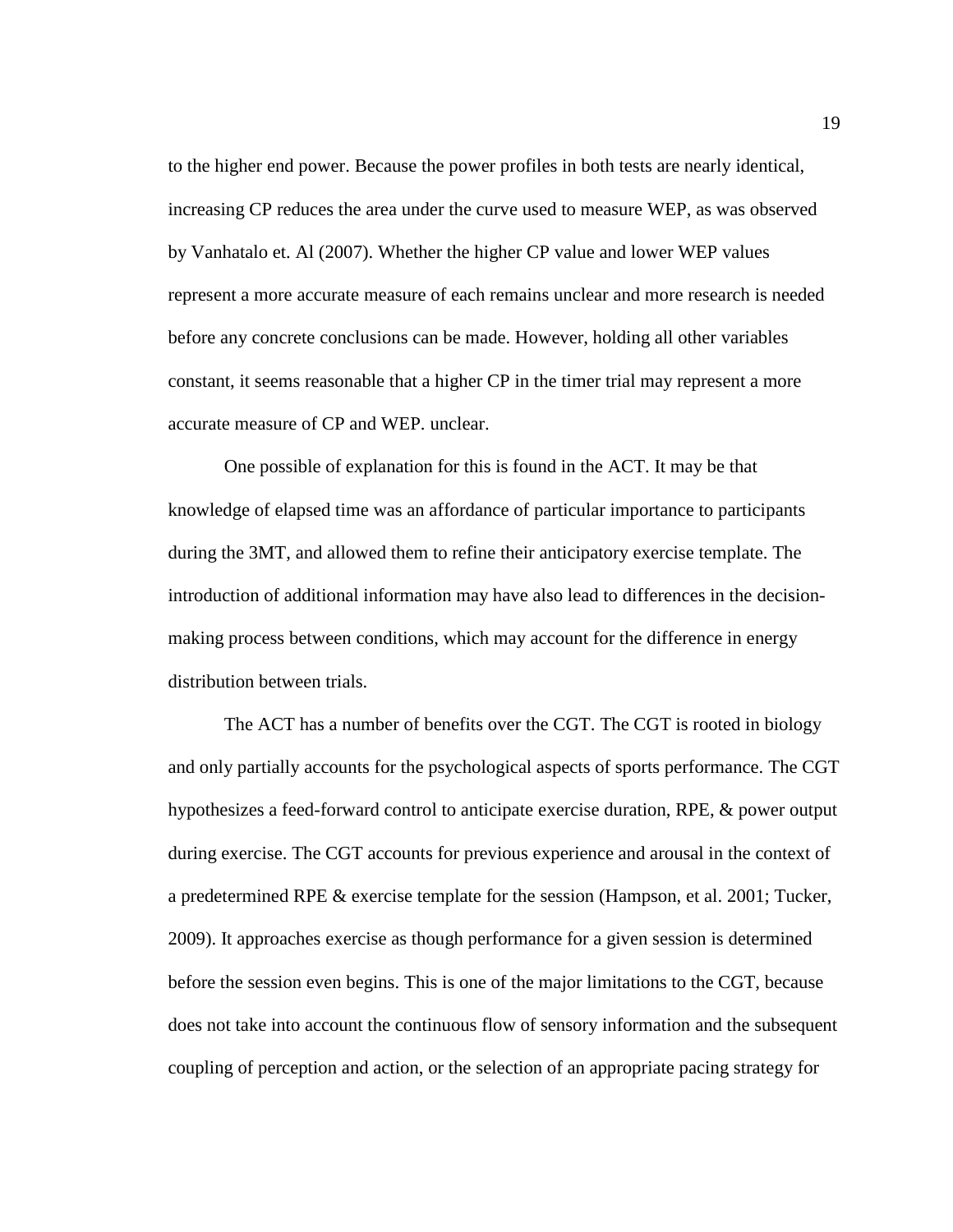to the higher end power. Because the power profiles in both tests are nearly identical, increasing CP reduces the area under the curve used to measure WEP, as was observed by Vanhatalo et. Al (2007). Whether the higher CP value and lower WEP values represent a more accurate measure of each remains unclear and more research is needed before any concrete conclusions can be made. However, holding all other variables constant, it seems reasonable that a higher CP in the timer trial may represent a more accurate measure of CP and WEP. unclear.

One possible of explanation for this is found in the ACT. It may be that knowledge of elapsed time was an affordance of particular importance to participants during the 3MT, and allowed them to refine their anticipatory exercise template. The introduction of additional information may have also lead to differences in the decisionmaking process between conditions, which may account for the difference in energy distribution between trials.

The ACT has a number of benefits over the CGT. The CGT is rooted in biology and only partially accounts for the psychological aspects of sports performance. The CGT hypothesizes a feed-forward control to anticipate exercise duration, RPE, & power output during exercise. The CGT accounts for previous experience and arousal in the context of a predetermined RPE & exercise template for the session (Hampson, et al. 2001; Tucker, 2009). It approaches exercise as though performance for a given session is determined before the session even begins. This is one of the major limitations to the CGT, because does not take into account the continuous flow of sensory information and the subsequent coupling of perception and action, or the selection of an appropriate pacing strategy for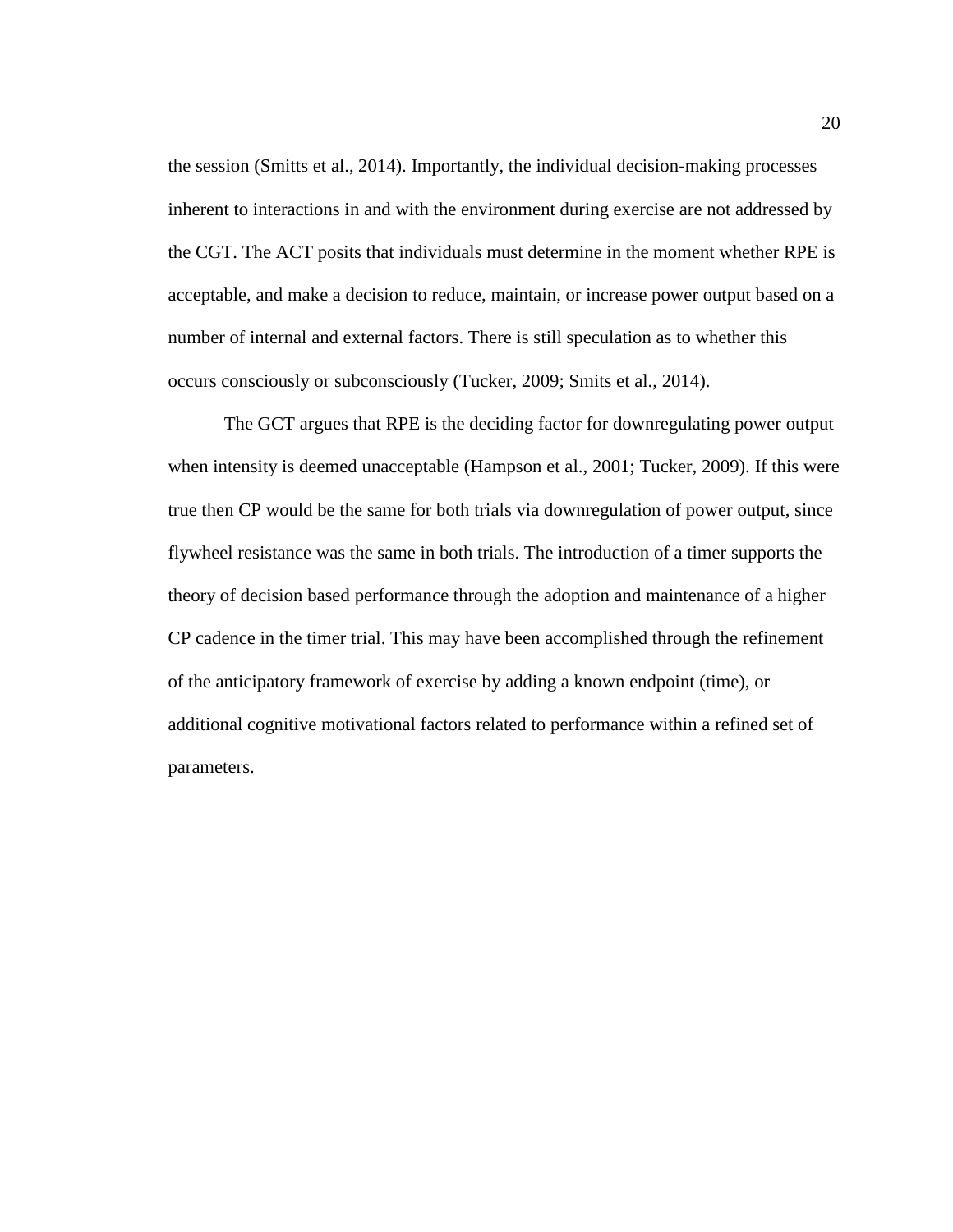the session (Smitts et al., 2014). Importantly, the individual decision-making processes inherent to interactions in and with the environment during exercise are not addressed by the CGT. The ACT posits that individuals must determine in the moment whether RPE is acceptable, and make a decision to reduce, maintain, or increase power output based on a number of internal and external factors. There is still speculation as to whether this occurs consciously or subconsciously (Tucker, 2009; Smits et al., 2014).

The GCT argues that RPE is the deciding factor for downregulating power output when intensity is deemed unacceptable (Hampson et al., 2001; Tucker, 2009). If this were true then CP would be the same for both trials via downregulation of power output, since flywheel resistance was the same in both trials. The introduction of a timer supports the theory of decision based performance through the adoption and maintenance of a higher CP cadence in the timer trial. This may have been accomplished through the refinement of the anticipatory framework of exercise by adding a known endpoint (time), or additional cognitive motivational factors related to performance within a refined set of parameters.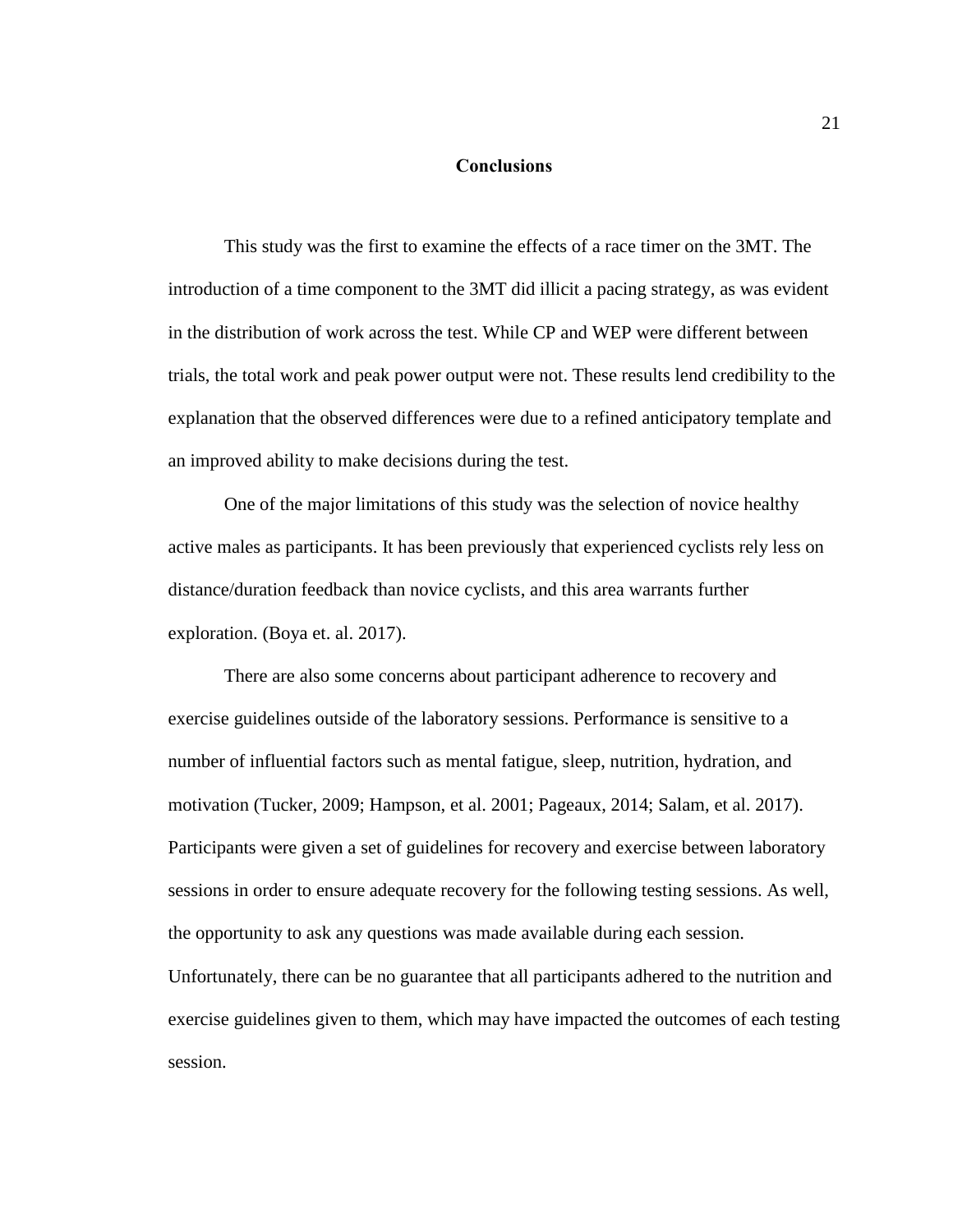### **Conclusions**

<span id="page-25-0"></span>This study was the first to examine the effects of a race timer on the 3MT. The introduction of a time component to the 3MT did illicit a pacing strategy, as was evident in the distribution of work across the test. While CP and WEP were different between trials, the total work and peak power output were not. These results lend credibility to the explanation that the observed differences were due to a refined anticipatory template and an improved ability to make decisions during the test.

One of the major limitations of this study was the selection of novice healthy active males as participants. It has been previously that experienced cyclists rely less on distance/duration feedback than novice cyclists, and this area warrants further exploration. (Boya et. al. 2017).

There are also some concerns about participant adherence to recovery and exercise guidelines outside of the laboratory sessions. Performance is sensitive to a number of influential factors such as mental fatigue, sleep, nutrition, hydration, and motivation (Tucker, 2009; Hampson, et al. 2001; Pageaux, 2014; Salam, et al. 2017). Participants were given a set of guidelines for recovery and exercise between laboratory sessions in order to ensure adequate recovery for the following testing sessions. As well, the opportunity to ask any questions was made available during each session. Unfortunately, there can be no guarantee that all participants adhered to the nutrition and exercise guidelines given to them, which may have impacted the outcomes of each testing session.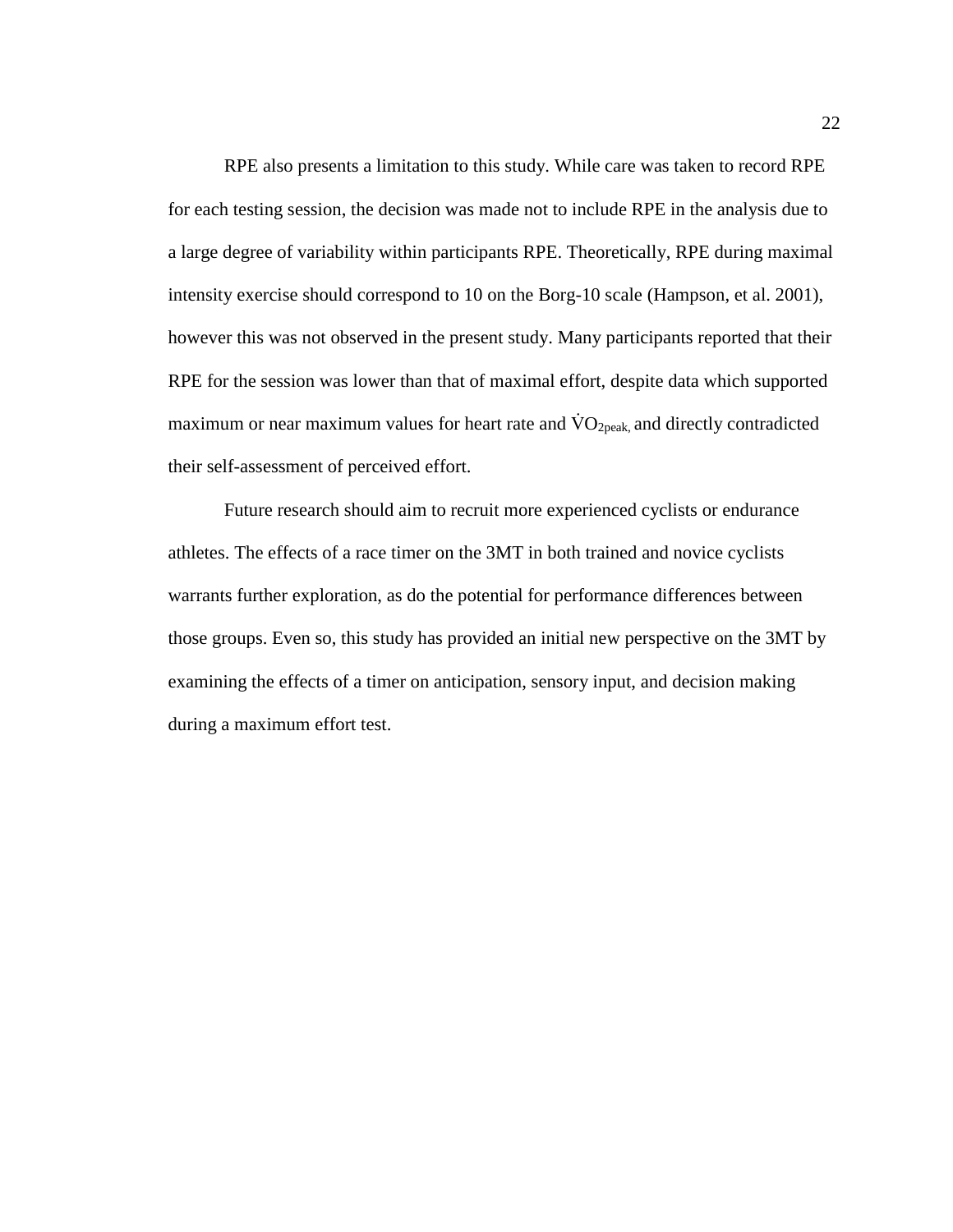RPE also presents a limitation to this study. While care was taken to record RPE for each testing session, the decision was made not to include RPE in the analysis due to a large degree of variability within participants RPE. Theoretically, RPE during maximal intensity exercise should correspond to 10 on the Borg-10 scale (Hampson, et al. 2001), however this was not observed in the present study. Many participants reported that their RPE for the session was lower than that of maximal effort, despite data which supported maximum or near maximum values for heart rate and  $\rm \dot{V}O_{2peak}$ , and directly contradicted their self-assessment of perceived effort.

Future research should aim to recruit more experienced cyclists or endurance athletes. The effects of a race timer on the 3MT in both trained and novice cyclists warrants further exploration, as do the potential for performance differences between those groups. Even so, this study has provided an initial new perspective on the 3MT by examining the effects of a timer on anticipation, sensory input, and decision making during a maximum effort test.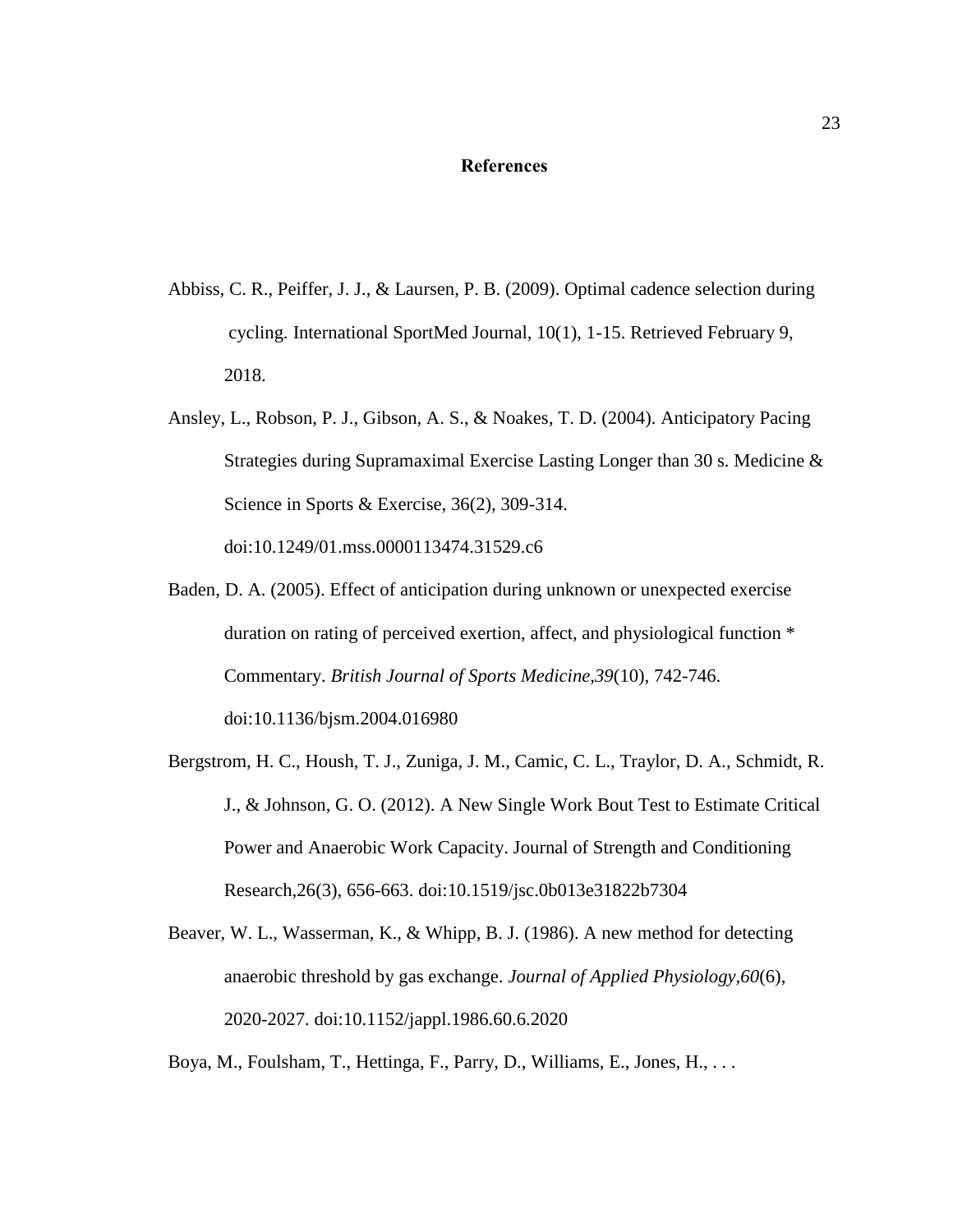### **References**

- <span id="page-27-0"></span>Abbiss, C. R., Peiffer, J. J., & Laursen, P. B. (2009). Optimal cadence selection during cycling. International SportMed Journal, 10(1), 1-15. Retrieved February 9, 2018.
- Ansley, L., Robson, P. J., Gibson, A. S., & Noakes, T. D. (2004). Anticipatory Pacing Strategies during Supramaximal Exercise Lasting Longer than 30 s. Medicine & Science in Sports & Exercise, 36(2), 309-314. doi:10.1249/01.mss.0000113474.31529.c6
- Baden, D. A. (2005). Effect of anticipation during unknown or unexpected exercise duration on rating of perceived exertion, affect, and physiological function \* Commentary. *British Journal of Sports Medicine,39*(10), 742-746. doi:10.1136/bjsm.2004.016980
- Bergstrom, H. C., Housh, T. J., Zuniga, J. M., Camic, C. L., Traylor, D. A., Schmidt, R. J., & Johnson, G. O. (2012). A New Single Work Bout Test to Estimate Critical Power and Anaerobic Work Capacity. Journal of Strength and Conditioning Research,26(3), 656-663. doi:10.1519/jsc.0b013e31822b7304
- Beaver, W. L., Wasserman, K., & Whipp, B. J. (1986). A new method for detecting anaerobic threshold by gas exchange. *Journal of Applied Physiology,60*(6), 2020-2027. doi:10.1152/jappl.1986.60.6.2020
- Boya, M., Foulsham, T., Hettinga, F., Parry, D., Williams, E., Jones, H., . . .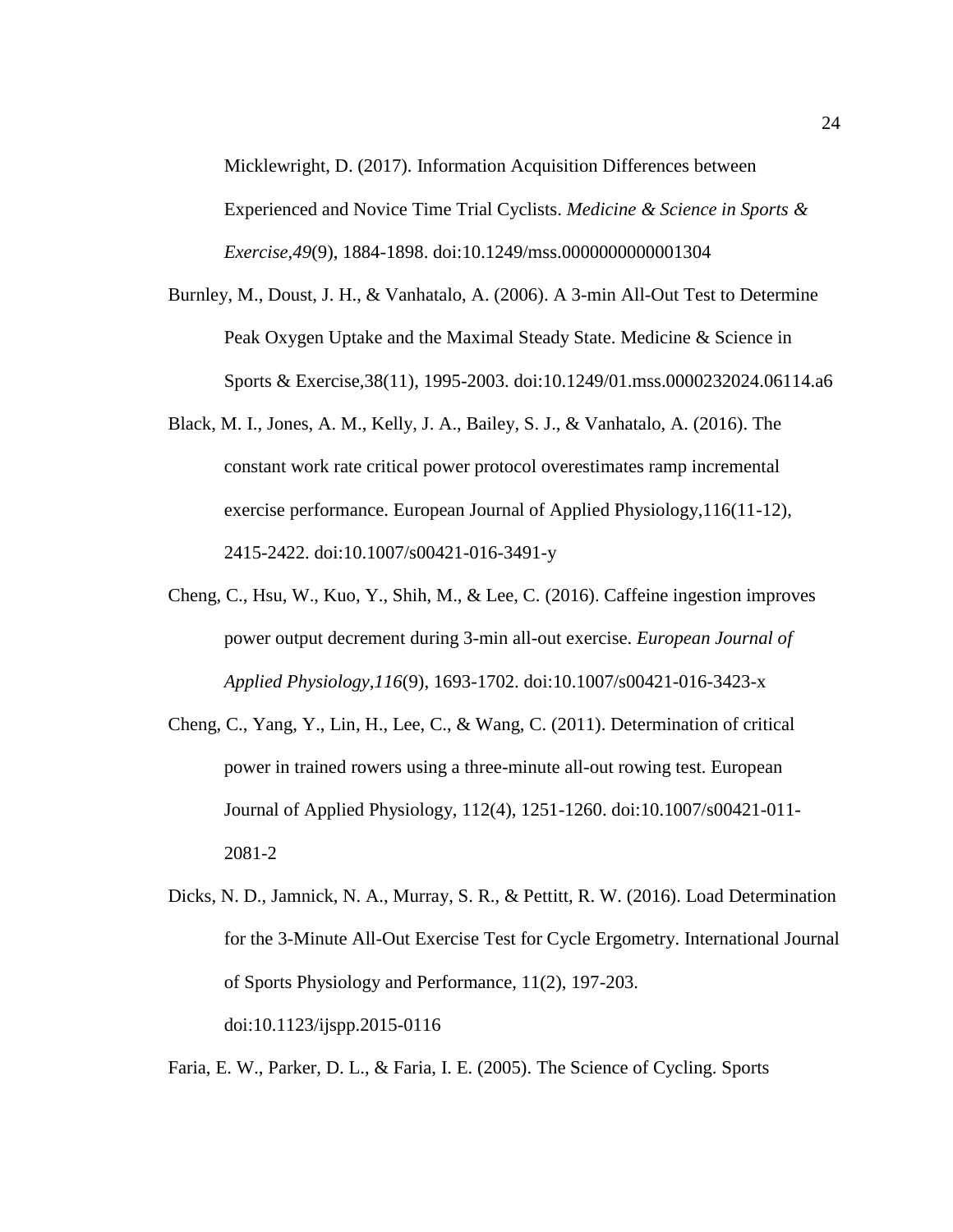Micklewright, D. (2017). Information Acquisition Differences between Experienced and Novice Time Trial Cyclists. *Medicine & Science in Sports & Exercise,49*(9), 1884-1898. doi:10.1249/mss.0000000000001304

- Burnley, M., Doust, J. H., & Vanhatalo, A. (2006). A 3-min All-Out Test to Determine Peak Oxygen Uptake and the Maximal Steady State. Medicine & Science in Sports & Exercise,38(11), 1995-2003. doi:10.1249/01.mss.0000232024.06114.a6
- Black, M. I., Jones, A. M., Kelly, J. A., Bailey, S. J., & Vanhatalo, A. (2016). The constant work rate critical power protocol overestimates ramp incremental exercise performance. European Journal of Applied Physiology,116(11-12), 2415-2422. doi:10.1007/s00421-016-3491-y
- Cheng, C., Hsu, W., Kuo, Y., Shih, M., & Lee, C. (2016). Caffeine ingestion improves power output decrement during 3-min all-out exercise. *European Journal of Applied Physiology,116*(9), 1693-1702. doi:10.1007/s00421-016-3423-x
- Cheng, C., Yang, Y., Lin, H., Lee, C., & Wang, C. (2011). Determination of critical power in trained rowers using a three-minute all-out rowing test. European Journal of Applied Physiology, 112(4), 1251-1260. doi:10.1007/s00421-011- 2081-2

Faria, E. W., Parker, D. L., & Faria, I. E. (2005). The Science of Cycling. Sports

Dicks, N. D., Jamnick, N. A., Murray, S. R., & Pettitt, R. W. (2016). Load Determination for the 3-Minute All-Out Exercise Test for Cycle Ergometry. International Journal of Sports Physiology and Performance, 11(2), 197-203. doi:10.1123/ijspp.2015-0116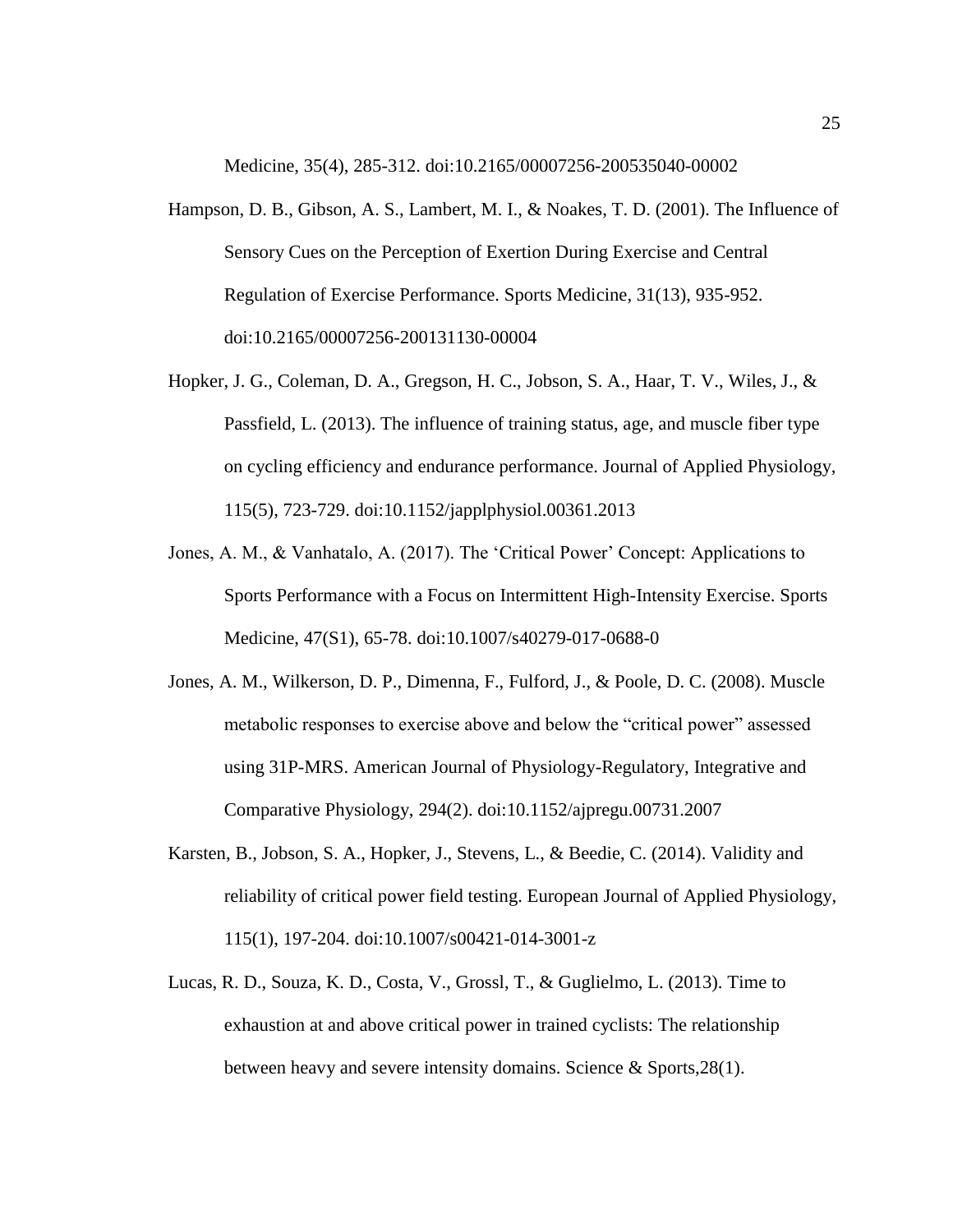Medicine, 35(4), 285-312. doi:10.2165/00007256-200535040-00002

- Hampson, D. B., Gibson, A. S., Lambert, M. I., & Noakes, T. D. (2001). The Influence of Sensory Cues on the Perception of Exertion During Exercise and Central Regulation of Exercise Performance. Sports Medicine, 31(13), 935-952. doi:10.2165/00007256-200131130-00004
- Hopker, J. G., Coleman, D. A., Gregson, H. C., Jobson, S. A., Haar, T. V., Wiles, J., & Passfield, L. (2013). The influence of training status, age, and muscle fiber type on cycling efficiency and endurance performance. Journal of Applied Physiology, 115(5), 723-729. doi:10.1152/japplphysiol.00361.2013
- Jones, A. M., & Vanhatalo, A. (2017). The 'Critical Power' Concept: Applications to Sports Performance with a Focus on Intermittent High-Intensity Exercise. Sports Medicine, 47(S1), 65-78. doi:10.1007/s40279-017-0688-0
- Jones, A. M., Wilkerson, D. P., Dimenna, F., Fulford, J., & Poole, D. C. (2008). Muscle metabolic responses to exercise above and below the "critical power" assessed using 31P-MRS. American Journal of Physiology-Regulatory, Integrative and Comparative Physiology, 294(2). doi:10.1152/ajpregu.00731.2007
- Karsten, B., Jobson, S. A., Hopker, J., Stevens, L., & Beedie, C. (2014). Validity and reliability of critical power field testing. European Journal of Applied Physiology, 115(1), 197-204. doi:10.1007/s00421-014-3001-z
- Lucas, R. D., Souza, K. D., Costa, V., Grossl, T., & Guglielmo, L. (2013). Time to exhaustion at and above critical power in trained cyclists: The relationship between heavy and severe intensity domains. Science & Sports,28(1).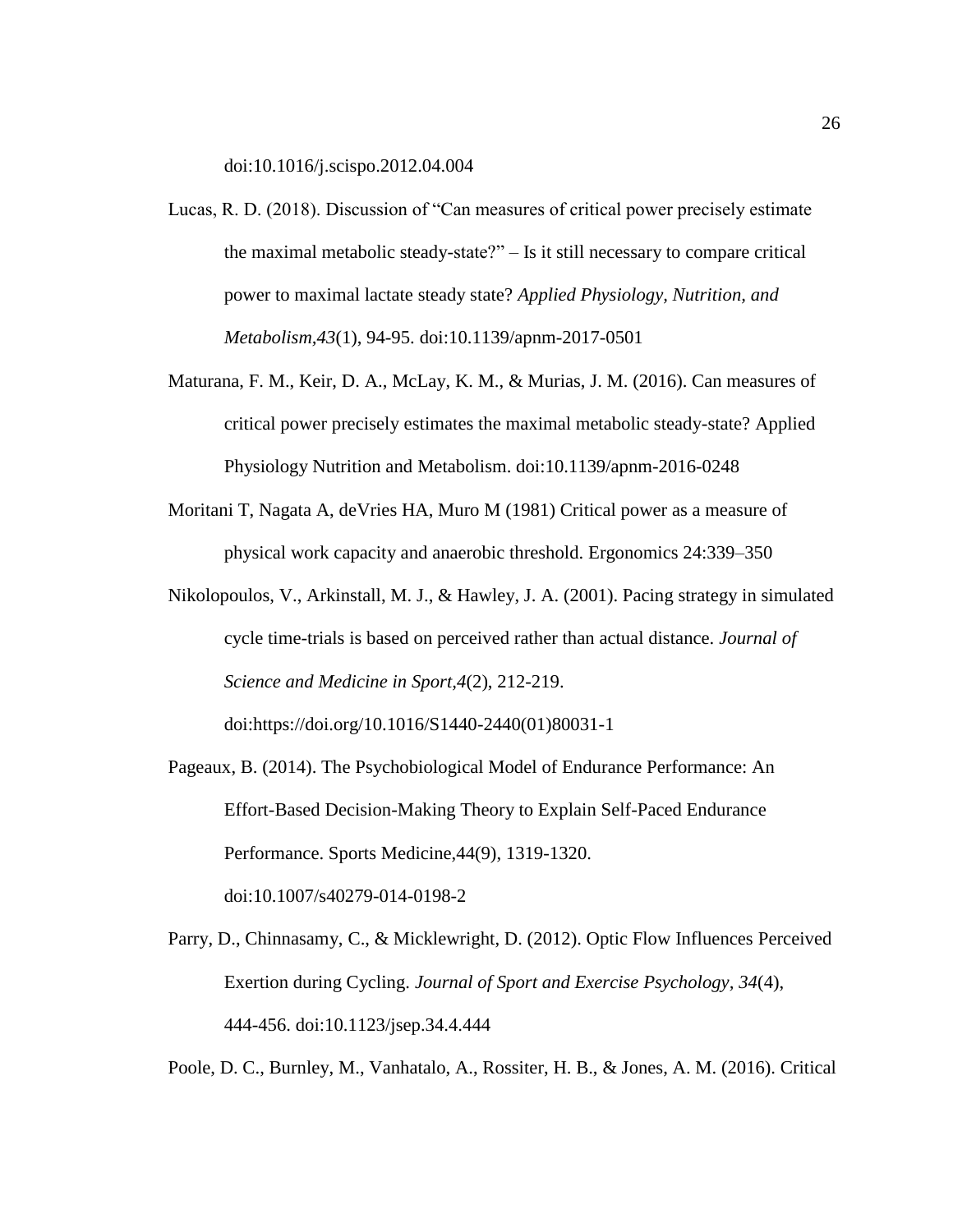doi:10.1016/j.scispo.2012.04.004

- Lucas, R. D. (2018). Discussion of "Can measures of critical power precisely estimate the maximal metabolic steady-state?" – Is it still necessary to compare critical power to maximal lactate steady state? *Applied Physiology, Nutrition, and Metabolism,43*(1), 94-95. doi:10.1139/apnm-2017-0501
- Maturana, F. M., Keir, D. A., McLay, K. M., & Murias, J. M. (2016). Can measures of critical power precisely estimates the maximal metabolic steady-state? Applied Physiology Nutrition and Metabolism. doi:10.1139/apnm-2016-0248
- Moritani T, Nagata A, deVries HA, Muro M (1981) Critical power as a measure of physical work capacity and anaerobic threshold. Ergonomics 24:339–350
- Nikolopoulos, V., Arkinstall, M. J., & Hawley, J. A. (2001). Pacing strategy in simulated cycle time-trials is based on perceived rather than actual distance. *Journal of Science and Medicine in Sport,4*(2), 212-219.

doi:https://doi.org/10.1016/S1440-2440(01)80031-1

- Pageaux, B. (2014). The Psychobiological Model of Endurance Performance: An Effort-Based Decision-Making Theory to Explain Self-Paced Endurance Performance. Sports Medicine,44(9), 1319-1320. doi:10.1007/s40279-014-0198-2
- Parry, D., Chinnasamy, C., & Micklewright, D. (2012). Optic Flow Influences Perceived Exertion during Cycling. *Journal of Sport and Exercise Psychology, 34*(4), 444-456. doi:10.1123/jsep.34.4.444

Poole, D. C., Burnley, M., Vanhatalo, A., Rossiter, H. B., & Jones, A. M. (2016). Critical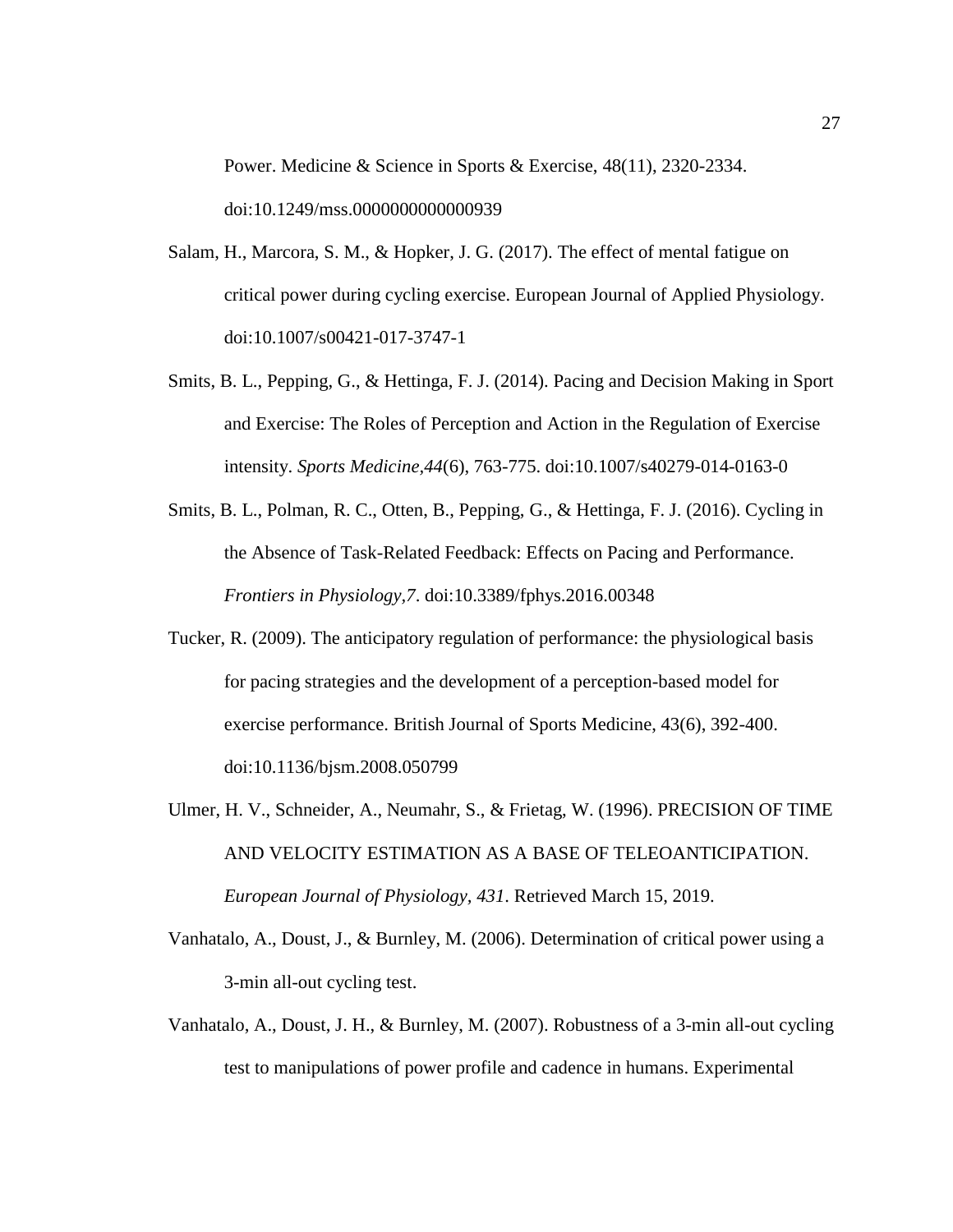Power. Medicine & Science in Sports & Exercise, 48(11), 2320-2334. doi:10.1249/mss.0000000000000939

- Salam, H., Marcora, S. M., & Hopker, J. G. (2017). The effect of mental fatigue on critical power during cycling exercise. European Journal of Applied Physiology. doi:10.1007/s00421-017-3747-1
- Smits, B. L., Pepping, G., & Hettinga, F. J. (2014). Pacing and Decision Making in Sport and Exercise: The Roles of Perception and Action in the Regulation of Exercise intensity. *Sports Medicine,44*(6), 763-775. doi:10.1007/s40279-014-0163-0
- Smits, B. L., Polman, R. C., Otten, B., Pepping, G., & Hettinga, F. J. (2016). Cycling in the Absence of Task-Related Feedback: Effects on Pacing and Performance. *Frontiers in Physiology,7*. doi:10.3389/fphys.2016.00348
- Tucker, R. (2009). The anticipatory regulation of performance: the physiological basis for pacing strategies and the development of a perception-based model for exercise performance. British Journal of Sports Medicine, 43(6), 392-400. doi:10.1136/bjsm.2008.050799
- Ulmer, H. V., Schneider, A., Neumahr, S., & Frietag, W. (1996). PRECISION OF TIME AND VELOCITY ESTIMATION AS A BASE OF TELEOANTICIPATION. *European Journal of Physiology, 431*. Retrieved March 15, 2019.
- Vanhatalo, A., Doust, J., & Burnley, M. (2006). Determination of critical power using a 3-min all-out cycling test.
- Vanhatalo, A., Doust, J. H., & Burnley, M. (2007). Robustness of a 3-min all-out cycling test to manipulations of power profile and cadence in humans. Experimental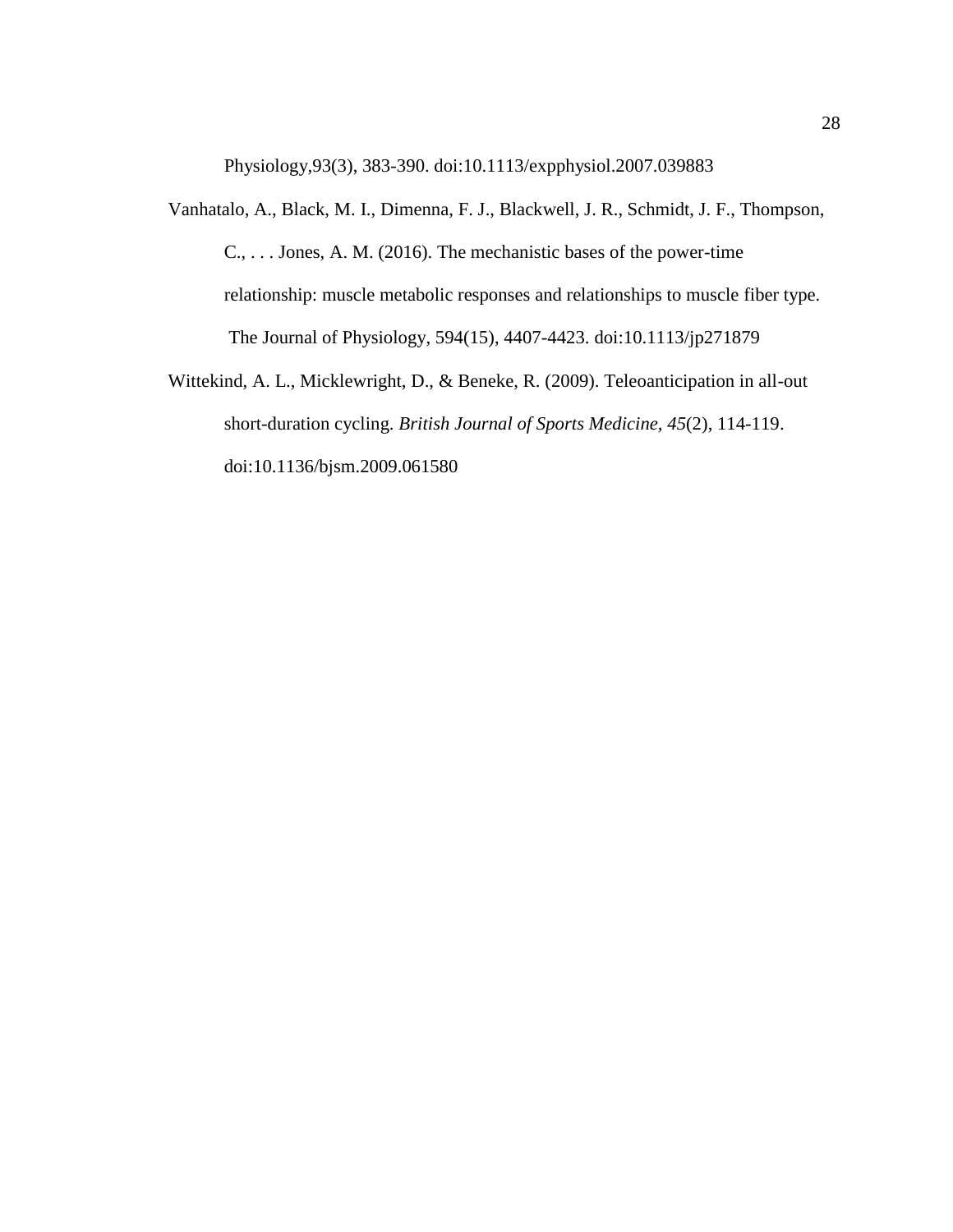Physiology,93(3), 383-390. doi:10.1113/expphysiol.2007.039883

- Vanhatalo, A., Black, M. I., Dimenna, F. J., Blackwell, J. R., Schmidt, J. F., Thompson, C., . . . Jones, A. M. (2016). The mechanistic bases of the power-time relationship: muscle metabolic responses and relationships to muscle fiber type. The Journal of Physiology, 594(15), 4407-4423. doi:10.1113/jp271879
- Wittekind, A. L., Micklewright, D., & Beneke, R. (2009). Teleoanticipation in all-out short-duration cycling. *British Journal of Sports Medicine, 45*(2), 114-119. doi:10.1136/bjsm.2009.061580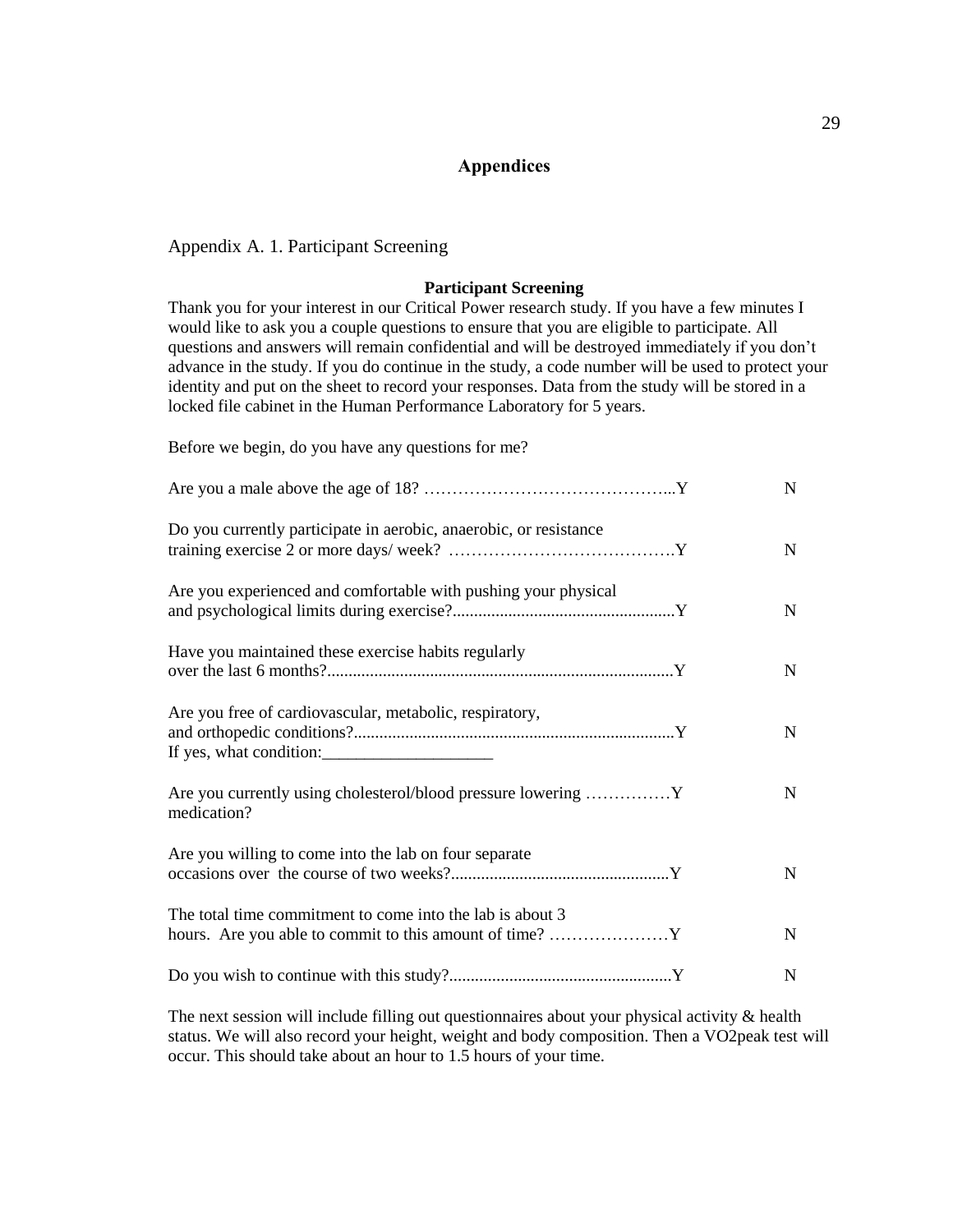## **Appendices**

<span id="page-33-0"></span>Appendix A. 1. Participant Screening

#### **Participant Screening**

Thank you for your interest in our Critical Power research study. If you have a few minutes I would like to ask you a couple questions to ensure that you are eligible to participate. All questions and answers will remain confidential and will be destroyed immediately if you don't advance in the study. If you do continue in the study, a code number will be used to protect your identity and put on the sheet to record your responses. Data from the study will be stored in a locked file cabinet in the Human Performance Laboratory for 5 years.

Before we begin, do you have any questions for me?

|                                                                                    | N           |
|------------------------------------------------------------------------------------|-------------|
| Do you currently participate in aerobic, anaerobic, or resistance                  | $\mathbf N$ |
| Are you experienced and comfortable with pushing your physical                     | N           |
| Have you maintained these exercise habits regularly                                | N           |
| Are you free of cardiovascular, metabolic, respiratory,<br>If yes, what condition: | N           |
| Are you currently using cholesterol/blood pressure lowering  Y<br>medication?      | $\mathbf N$ |
| Are you willing to come into the lab on four separate                              | $\mathbf N$ |
| The total time commitment to come into the lab is about 3                          | $\mathbf N$ |
|                                                                                    | $\mathbf N$ |

The next session will include filling out questionnaires about your physical activity  $\&$  health status. We will also record your height, weight and body composition. Then a VO2peak test will occur. This should take about an hour to 1.5 hours of your time.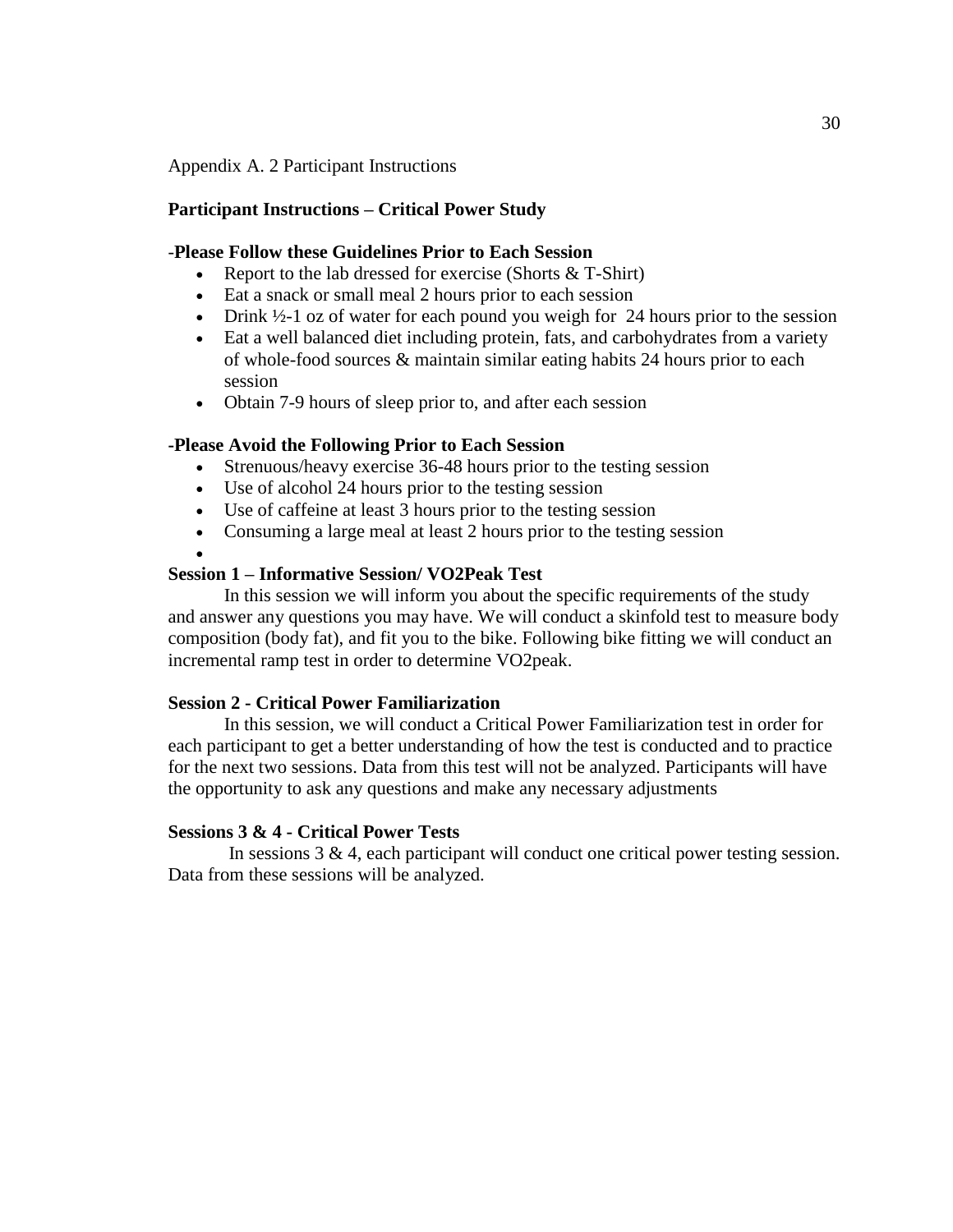Appendix A. 2 Participant Instructions

### **Participant Instructions – Critical Power Study**

## -**Please Follow these Guidelines Prior to Each Session**

- Report to the lab dressed for exercise (Shorts & T-Shirt)
- Eat a snack or small meal 2 hours prior to each session
- Drink  $\frac{1}{2}$ -1 oz of water for each pound you weigh for 24 hours prior to the session
- Eat a well balanced diet including protein, fats, and carbohydrates from a variety of whole-food sources & maintain similar eating habits 24 hours prior to each session
- Obtain 7-9 hours of sleep prior to, and after each session

### **-Please Avoid the Following Prior to Each Session**

- Strenuous/heavy exercise 36-48 hours prior to the testing session
- Use of alcohol 24 hours prior to the testing session
- Use of caffeine at least 3 hours prior to the testing session
- Consuming a large meal at least 2 hours prior to the testing session
- •

## **Session 1 – Informative Session/ VO2Peak Test**

In this session we will inform you about the specific requirements of the study and answer any questions you may have. We will conduct a skinfold test to measure body composition (body fat), and fit you to the bike. Following bike fitting we will conduct an incremental ramp test in order to determine VO2peak.

### **Session 2 - Critical Power Familiarization**

In this session, we will conduct a Critical Power Familiarization test in order for each participant to get a better understanding of how the test is conducted and to practice for the next two sessions. Data from this test will not be analyzed. Participants will have the opportunity to ask any questions and make any necessary adjustments

### **Sessions 3 & 4 - Critical Power Tests**

In sessions 3 & 4, each participant will conduct one critical power testing session. Data from these sessions will be analyzed.